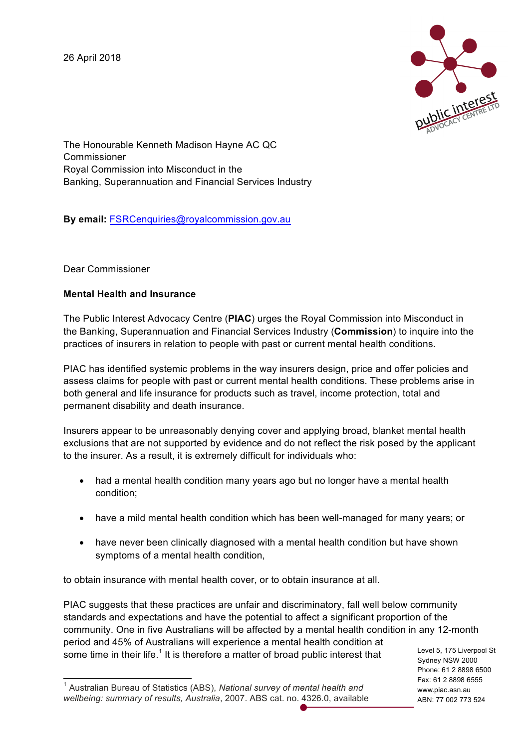26 April 2018



The Honourable Kenneth Madison Hayne AC QC Commissioner Royal Commission into Misconduct in the Banking, Superannuation and Financial Services Industry

**By email:** FSRCenquiries@royalcommission.gov.au

Dear Commissioner

#### **Mental Health and Insurance**

The Public Interest Advocacy Centre (**PIAC**) urges the Royal Commission into Misconduct in the Banking, Superannuation and Financial Services Industry (**Commission**) to inquire into the practices of insurers in relation to people with past or current mental health conditions.

PIAC has identified systemic problems in the way insurers design, price and offer policies and assess claims for people with past or current mental health conditions. These problems arise in both general and life insurance for products such as travel, income protection, total and permanent disability and death insurance.

Insurers appear to be unreasonably denying cover and applying broad, blanket mental health exclusions that are not supported by evidence and do not reflect the risk posed by the applicant to the insurer. As a result, it is extremely difficult for individuals who:

- had a mental health condition many years ago but no longer have a mental health condition;
- have a mild mental health condition which has been well-managed for many years; or
- have never been clinically diagnosed with a mental health condition but have shown symptoms of a mental health condition,

to obtain insurance with mental health cover, or to obtain insurance at all.

PIAC suggests that these practices are unfair and discriminatory, fall well below community standards and expectations and have the potential to affect a significant proportion of the community. One in five Australians will be affected by a mental health condition in any 12-month period and 45% of Australians will experience a mental health condition at some time in their life.<sup>1</sup> It is therefore a matter of broad public interest that

Level 5, 175 Liverpool St Sydney NSW 2000 Phone: 61 2 8898 6500 Fax: 61 2 8898 6555 www.piac.asn.au ABN: 77 002 773 524

 <sup>1</sup> Australian Bureau of Statistics (ABS), *National survey of mental health and wellbeing: summary of results, Australia*, 2007. ABS cat. no. 4326.0, available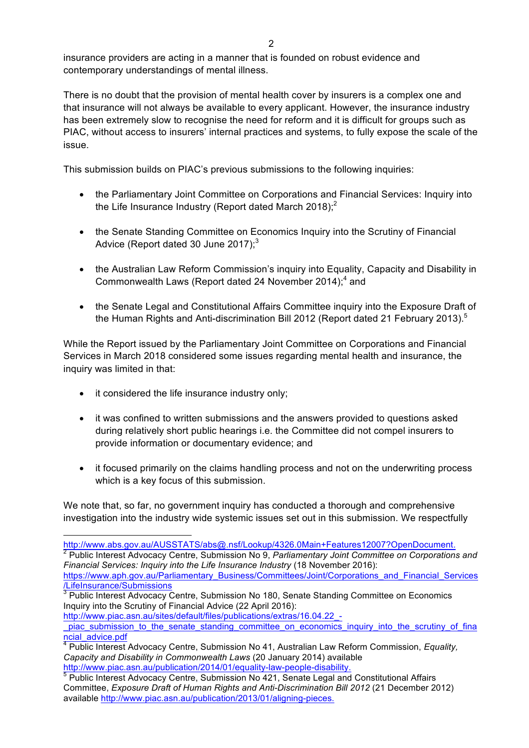insurance providers are acting in a manner that is founded on robust evidence and contemporary understandings of mental illness.

There is no doubt that the provision of mental health cover by insurers is a complex one and that insurance will not always be available to every applicant. However, the insurance industry has been extremely slow to recognise the need for reform and it is difficult for groups such as PIAC, without access to insurers' internal practices and systems, to fully expose the scale of the issue.

This submission builds on PIAC's previous submissions to the following inquiries:

- the Parliamentary Joint Committee on Corporations and Financial Services: Inquiry into the Life Insurance Industry (Report dated March 2018); $^{2}$
- the Senate Standing Committee on Economics Inquiry into the Scrutiny of Financial Advice (Report dated 30 June 2017); $3$
- the Australian Law Reform Commission's inquiry into Equality, Capacity and Disability in Commonwealth Laws (Report dated 24 November 2014);<sup>4</sup> and
- the Senate Legal and Constitutional Affairs Committee inquiry into the Exposure Draft of the Human Rights and Anti-discrimination Bill 2012 (Report dated 21 February 2013).<sup>5</sup>

While the Report issued by the Parliamentary Joint Committee on Corporations and Financial Services in March 2018 considered some issues regarding mental health and insurance, the inquiry was limited in that:

• it considered the life insurance industry only;

- it was confined to written submissions and the answers provided to questions asked during relatively short public hearings i.e. the Committee did not compel insurers to provide information or documentary evidence; and
- it focused primarily on the claims handling process and not on the underwriting process which is a key focus of this submission.

We note that, so far, no government inquiry has conducted a thorough and comprehensive investigation into the industry wide systemic issues set out in this submission. We respectfully

https://www.aph.gov.au/Parliamentary\_Business/Committees/Joint/Corporations\_and\_Financial\_Services /LifeInsurance/Submissions

http://www.piac.asn.au/sites/default/files/publications/extras/16.04.22 -

<sup>4</sup> Public Interest Advocacy Centre, Submission No 41, Australian Law Reform Commission, *Equality, Capacity and Disability in Commonwealth Laws* (20 January 2014) available

http://www.abs.gov.au/AUSSTATS/abs@.nsf/Lookup/4326.0Main+Features12007?OpenDocument.<br><sup>2</sup> Public Interest Advocacy Centre, Submission No 9, *Parliamentary Joint Committee on Corporations and Financial Services: Inquiry into the Life Insurance Industry* (18 November 2016):

 $3$  Public Interest Advocacy Centre, Submission No 180, Senate Standing Committee on Economics Inquiry into the Scrutiny of Financial Advice (22 April 2016):

piac\_submission\_to\_the\_senate\_standing\_committee\_on\_economics\_inquiry\_into\_the\_scrutiny\_of\_fina ncial\_advice.pdf

http://www.piac.asn.au/publication/2014/01/equality-law-people-disability.<br><sup>5</sup> Public Interest Advocacy Centre, Submission No 421, Senate Legal and Constitutional Affairs Committee, *Exposure Draft of Human Rights and Anti-Discrimination Bill 2012* (21 December 2012) available http://www.piac.asn.au/publication/2013/01/aligning-pieces.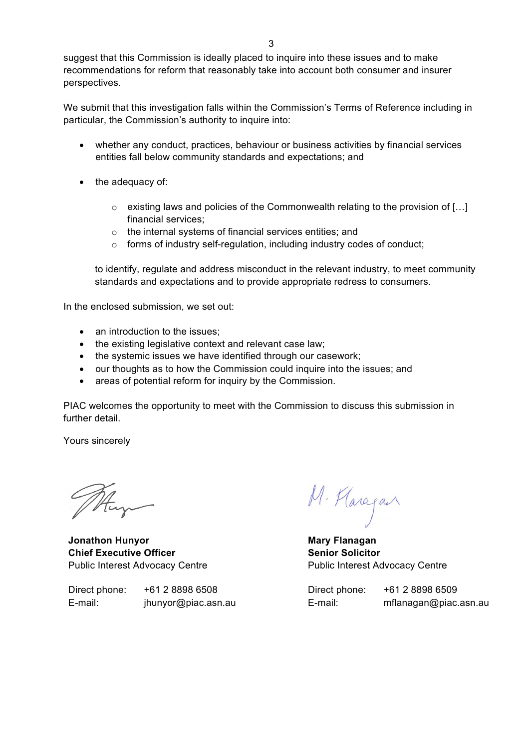suggest that this Commission is ideally placed to inquire into these issues and to make recommendations for reform that reasonably take into account both consumer and insurer perspectives.

We submit that this investigation falls within the Commission's Terms of Reference including in particular, the Commission's authority to inquire into:

- whether any conduct, practices, behaviour or business activities by financial services entities fall below community standards and expectations; and
- the adequacy of:
	- $\circ$  existing laws and policies of the Commonwealth relating to the provision of [...] financial services;
	- o the internal systems of financial services entities; and
	- o forms of industry self-regulation, including industry codes of conduct;

to identify, regulate and address misconduct in the relevant industry, to meet community standards and expectations and to provide appropriate redress to consumers.

In the enclosed submission, we set out:

- an introduction to the issues:
- the existing legislative context and relevant case law;
- the systemic issues we have identified through our casework;
- our thoughts as to how the Commission could inquire into the issues; and
- areas of potential reform for inquiry by the Commission.

PIAC welcomes the opportunity to meet with the Commission to discuss this submission in further detail.

Yours sincerely

**Jonathon Hunyor Chief Executive Officer** Public Interest Advocacy Centre

Direct phone: +61 2 8898 6508 E-mail: jhunyor@piac.asn.au

M. Haragan

**Mary Flanagan Senior Solicitor** Public Interest Advocacy Centre

Direct phone: +61 2 8898 6509 E-mail: mflanagan@piac.asn.au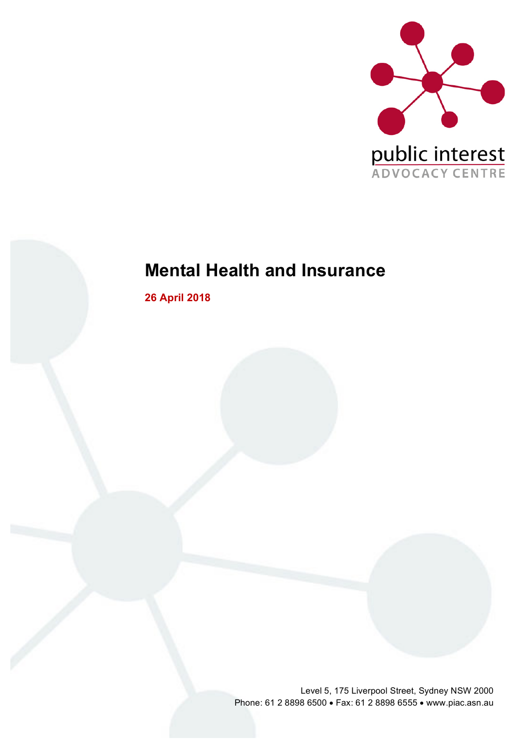

# **Mental Health and Insurance**

**26 April 2018**

Level 5, 175 Liverpool Street, Sydney NSW 2000 Phone: 61 2 8898 6500 • Fax: 61 2 8898 6555 • www.piac.asn.au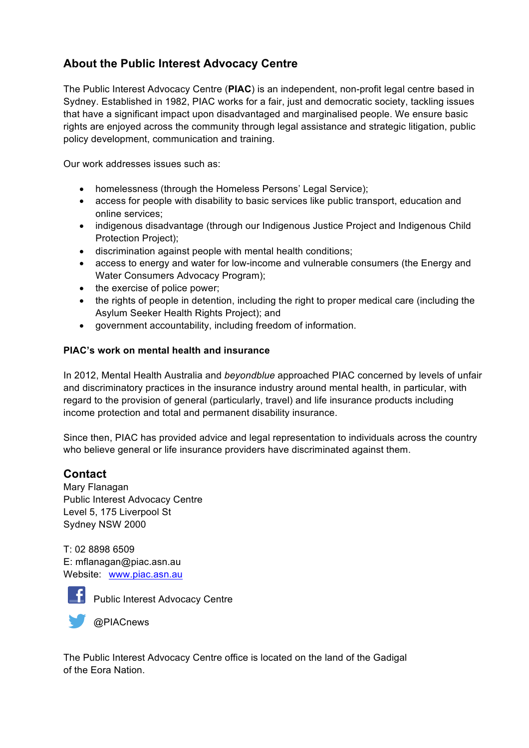## **About the Public Interest Advocacy Centre**

The Public Interest Advocacy Centre (**PIAC**) is an independent, non-profit legal centre based in Sydney. Established in 1982, PIAC works for a fair, just and democratic society, tackling issues that have a significant impact upon disadvantaged and marginalised people. We ensure basic rights are enjoyed across the community through legal assistance and strategic litigation, public policy development, communication and training.

Our work addresses issues such as:

- homelessness (through the Homeless Persons' Legal Service);
- access for people with disability to basic services like public transport, education and online services;
- indigenous disadvantage (through our Indigenous Justice Project and Indigenous Child Protection Project);
- discrimination against people with mental health conditions;
- access to energy and water for low-income and vulnerable consumers (the Energy and Water Consumers Advocacy Program);
- the exercise of police power;
- the rights of people in detention, including the right to proper medical care (including the Asylum Seeker Health Rights Project); and
- government accountability, including freedom of information.

#### **PIAC's work on mental health and insurance**

In 2012, Mental Health Australia and *beyondblue* approached PIAC concerned by levels of unfair and discriminatory practices in the insurance industry around mental health, in particular, with regard to the provision of general (particularly, travel) and life insurance products including income protection and total and permanent disability insurance.

Since then, PIAC has provided advice and legal representation to individuals across the country who believe general or life insurance providers have discriminated against them.

### **Contact**

Mary Flanagan Public Interest Advocacy Centre Level 5, 175 Liverpool St Sydney NSW 2000

T: 02 8898 6509 E: mflanagan@piac.asn.au Website: www.piac.asn.au



**Public Interest Advocacy Centre** 

@PIACnews

The Public Interest Advocacy Centre office is located on the land of the Gadigal of the Eora Nation.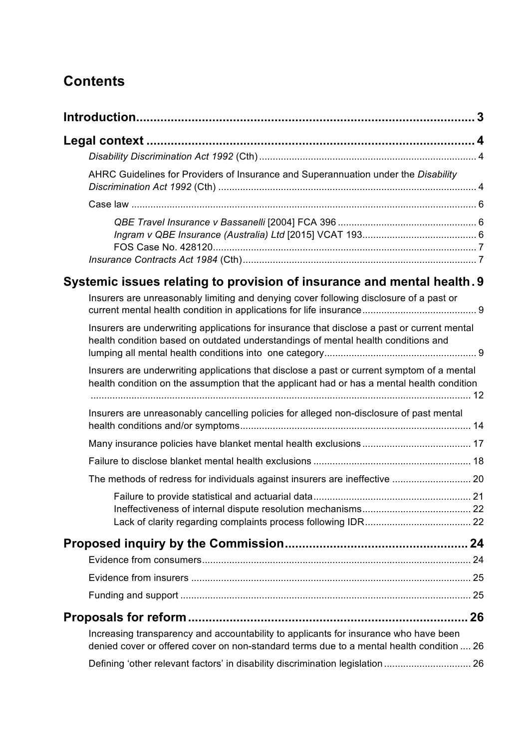## **Contents**

|                                                                                                                                                                                          | 3 |
|------------------------------------------------------------------------------------------------------------------------------------------------------------------------------------------|---|
|                                                                                                                                                                                          |   |
|                                                                                                                                                                                          |   |
| AHRC Guidelines for Providers of Insurance and Superannuation under the Disability                                                                                                       |   |
|                                                                                                                                                                                          |   |
|                                                                                                                                                                                          |   |
| Systemic issues relating to provision of insurance and mental health. 9                                                                                                                  |   |
| Insurers are unreasonably limiting and denying cover following disclosure of a past or                                                                                                   |   |
| Insurers are underwriting applications for insurance that disclose a past or current mental<br>health condition based on outdated understandings of mental health conditions and         |   |
| Insurers are underwriting applications that disclose a past or current symptom of a mental<br>health condition on the assumption that the applicant had or has a mental health condition |   |
| Insurers are unreasonably cancelling policies for alleged non-disclosure of past mental                                                                                                  |   |
|                                                                                                                                                                                          |   |
|                                                                                                                                                                                          |   |
|                                                                                                                                                                                          |   |
|                                                                                                                                                                                          |   |
|                                                                                                                                                                                          |   |
|                                                                                                                                                                                          |   |
|                                                                                                                                                                                          |   |
|                                                                                                                                                                                          |   |
|                                                                                                                                                                                          |   |
| Increasing transparency and accountability to applicants for insurance who have been<br>denied cover or offered cover on non-standard terms due to a mental health condition  26         |   |
| Defining 'other relevant factors' in disability discrimination legislation  26                                                                                                           |   |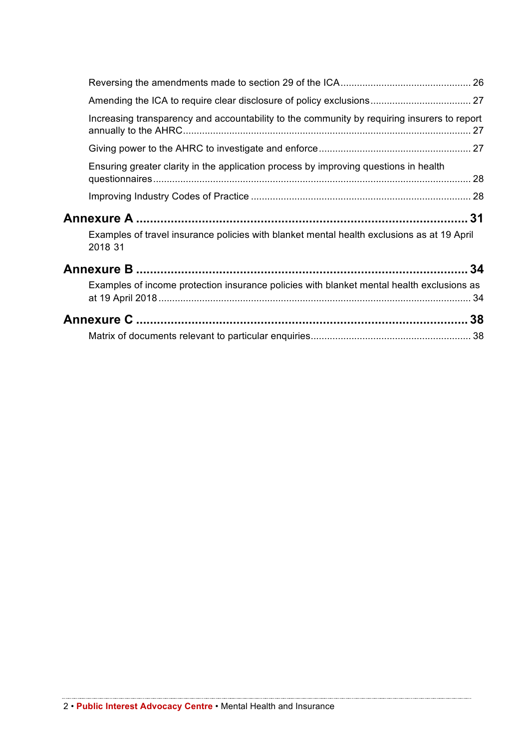| Increasing transparency and accountability to the community by requiring insurers to report           |    |
|-------------------------------------------------------------------------------------------------------|----|
|                                                                                                       |    |
| Ensuring greater clarity in the application process by improving questions in health                  |    |
|                                                                                                       |    |
|                                                                                                       | 31 |
| Examples of travel insurance policies with blanket mental health exclusions as at 19 April<br>2018 31 |    |
|                                                                                                       |    |
| Examples of income protection insurance policies with blanket mental health exclusions as             |    |
|                                                                                                       |    |
|                                                                                                       |    |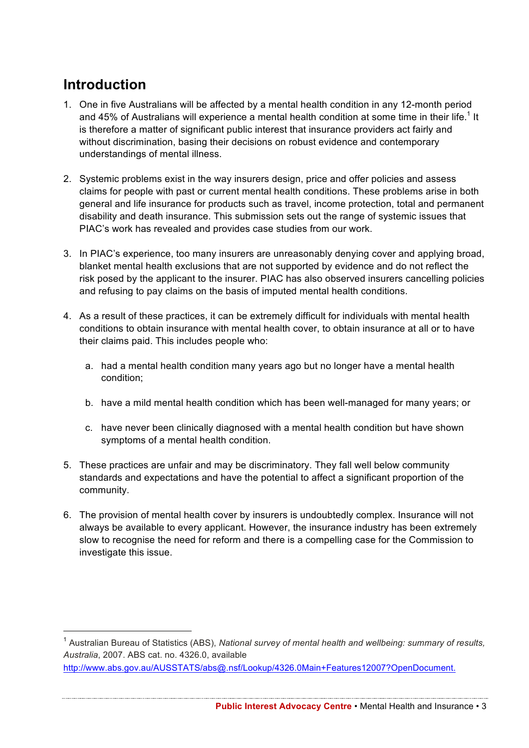## **Introduction**

- 1. One in five Australians will be affected by a mental health condition in any 12-month period and 45% of Australians will experience a mental health condition at some time in their life.<sup>1</sup> It is therefore a matter of significant public interest that insurance providers act fairly and without discrimination, basing their decisions on robust evidence and contemporary understandings of mental illness.
- 2. Systemic problems exist in the way insurers design, price and offer policies and assess claims for people with past or current mental health conditions. These problems arise in both general and life insurance for products such as travel, income protection, total and permanent disability and death insurance. This submission sets out the range of systemic issues that PIAC's work has revealed and provides case studies from our work.
- 3. In PIAC's experience, too many insurers are unreasonably denying cover and applying broad, blanket mental health exclusions that are not supported by evidence and do not reflect the risk posed by the applicant to the insurer. PIAC has also observed insurers cancelling policies and refusing to pay claims on the basis of imputed mental health conditions.
- 4. As a result of these practices, it can be extremely difficult for individuals with mental health conditions to obtain insurance with mental health cover, to obtain insurance at all or to have their claims paid. This includes people who:
	- a. had a mental health condition many years ago but no longer have a mental health condition;
	- b. have a mild mental health condition which has been well-managed for many years; or
	- c. have never been clinically diagnosed with a mental health condition but have shown symptoms of a mental health condition.
- 5. These practices are unfair and may be discriminatory. They fall well below community standards and expectations and have the potential to affect a significant proportion of the community.
- 6. The provision of mental health cover by insurers is undoubtedly complex. Insurance will not always be available to every applicant. However, the insurance industry has been extremely slow to recognise the need for reform and there is a compelling case for the Commission to investigate this issue.

**Public Interest Advocacy Centre** • Mental Health and Insurance • 3

 <sup>1</sup> Australian Bureau of Statistics (ABS), *National survey of mental health and wellbeing: summary of results, Australia*, 2007. ABS cat. no. 4326.0, available

http://www.abs.gov.au/AUSSTATS/abs@.nsf/Lookup/4326.0Main+Features12007?OpenDocument.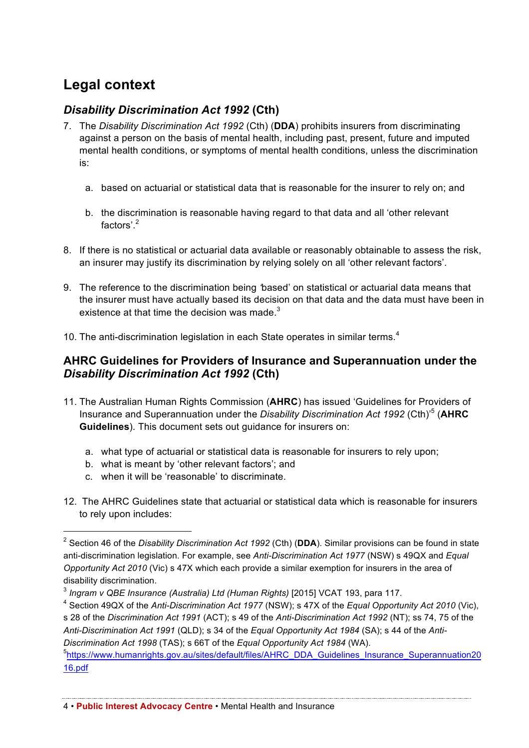## **Legal context**

## *Disability Discrimination Act 1992* **(Cth)**

- 7. The *Disability Discrimination Act 1992* (Cth) (**DDA**) prohibits insurers from discriminating against a person on the basis of mental health, including past, present, future and imputed mental health conditions, or symptoms of mental health conditions, unless the discrimination is:
	- a. based on actuarial or statistical data that is reasonable for the insurer to rely on; and
	- b. the discrimination is reasonable having regard to that data and all 'other relevant factors'.<sup>2</sup>
- 8. If there is no statistical or actuarial data available or reasonably obtainable to assess the risk, an insurer may justify its discrimination by relying solely on all 'other relevant factors'.
- 9. The reference to the discrimination being *'*based' on statistical or actuarial data means that the insurer must have actually based its decision on that data and the data must have been in existence at that time the decision was made  $3$
- 10. The anti-discrimination legislation in each State operates in similar terms.<sup>4</sup>

## **AHRC Guidelines for Providers of Insurance and Superannuation under the**  *Disability Discrimination Act 1992* **(Cth)**

- 11. The Australian Human Rights Commission (**AHRC**) has issued 'Guidelines for Providers of Insurance and Superannuation under the *Disability Discrimination Act 1992* (Cth)'5 (**AHRC Guidelines**). This document sets out guidance for insurers on:
	- a. what type of actuarial or statistical data is reasonable for insurers to rely upon;
	- b. what is meant by 'other relevant factors'; and
	- c. when it will be 'reasonable' to discriminate.
- 12. The AHRC Guidelines state that actuarial or statistical data which is reasonable for insurers to rely upon includes:

<sup>4</sup> Section 49QX of the *Anti-Discrimination Act 1977* (NSW); s 47X of the *Equal Opportunity Act 2010* (Vic), s 28 of the *Discrimination Act 1991* (ACT); s 49 of the *Anti-Discrimination Act 1992* (NT); ss 74, 75 of the *Anti-Discrimination Act 1991* (QLD); s 34 of the *Equal Opportunity Act 1984* (SA); s 44 of the *Anti-Discrimination Act 1998* (TAS); s 66T of the *Equal Opportunity Act 1984* (WA).

<sup>5</sup>https://www.humanrights.gov.au/sites/default/files/AHRC\_DDA\_Guidelines\_Insurance\_Superannuation20 16.pdf

 <sup>2</sup> Section 46 of the *Disability Discrimination Act 1992* (Cth) (**DDA**). Similar provisions can be found in state anti-discrimination legislation. For example, see *Anti-Discrimination Act 1977* (NSW) s 49QX and *Equal Opportunity Act 2010* (Vic) s 47X which each provide a similar exemption for insurers in the area of disability discrimination.

<sup>3</sup> *Ingram v QBE Insurance (Australia) Ltd (Human Rights)* [2015] VCAT 193, para 117.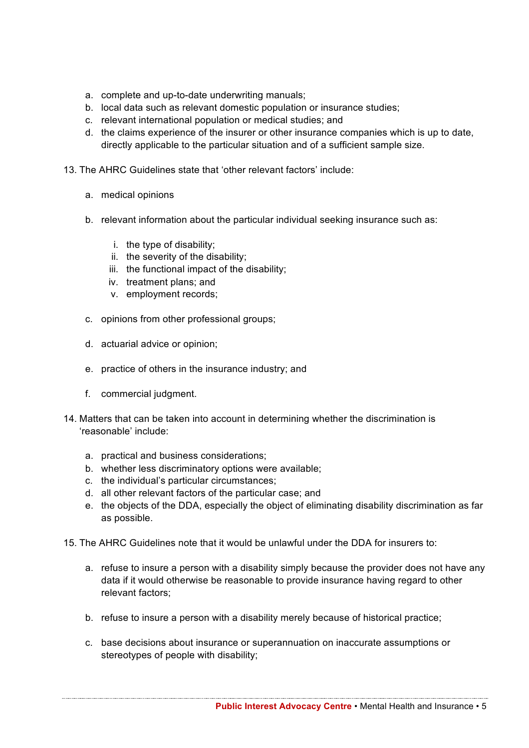- a. complete and up-to-date underwriting manuals;
- b. local data such as relevant domestic population or insurance studies;
- c. relevant international population or medical studies; and
- d. the claims experience of the insurer or other insurance companies which is up to date, directly applicable to the particular situation and of a sufficient sample size.
- 13. The AHRC Guidelines state that 'other relevant factors' include:
	- a. medical opinions
	- b. relevant information about the particular individual seeking insurance such as:
		- i. the type of disability;
		- ii. the severity of the disability;
		- iii. the functional impact of the disability;
		- iv. treatment plans; and
		- v. employment records;
	- c. opinions from other professional groups;
	- d. actuarial advice or opinion;
	- e. practice of others in the insurance industry; and
	- f. commercial judgment.
- 14. Matters that can be taken into account in determining whether the discrimination is 'reasonable' include:
	- a. practical and business considerations;
	- b. whether less discriminatory options were available;
	- c. the individual's particular circumstances;
	- d. all other relevant factors of the particular case; and
	- e. the objects of the DDA, especially the object of eliminating disability discrimination as far as possible.
- 15. The AHRC Guidelines note that it would be unlawful under the DDA for insurers to:
	- a. refuse to insure a person with a disability simply because the provider does not have any data if it would otherwise be reasonable to provide insurance having regard to other relevant factors;
	- b. refuse to insure a person with a disability merely because of historical practice;
	- c. base decisions about insurance or superannuation on inaccurate assumptions or stereotypes of people with disability;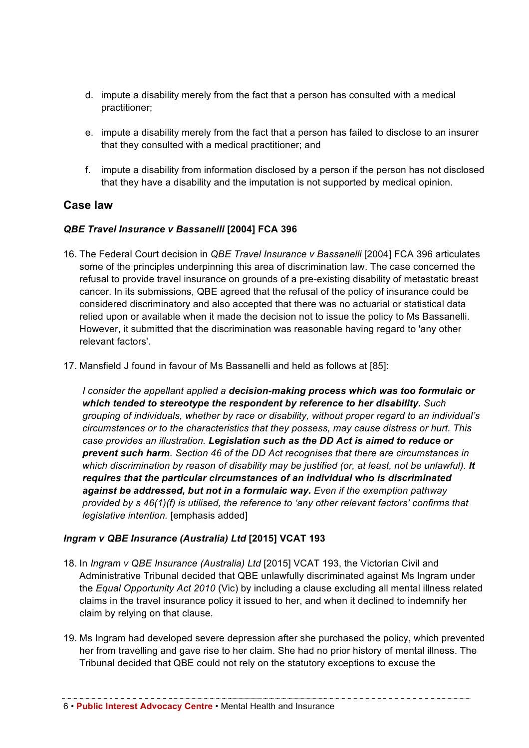- d. impute a disability merely from the fact that a person has consulted with a medical practitioner;
- e. impute a disability merely from the fact that a person has failed to disclose to an insurer that they consulted with a medical practitioner; and
- f. impute a disability from information disclosed by a person if the person has not disclosed that they have a disability and the imputation is not supported by medical opinion.

### **Case law**

#### *QBE Travel Insurance v Bassanelli* **[2004] FCA 396**

- 16. The Federal Court decision in *QBE Travel Insurance v Bassanelli* [2004] FCA 396 articulates some of the principles underpinning this area of discrimination law. The case concerned the refusal to provide travel insurance on grounds of a pre-existing disability of metastatic breast cancer. In its submissions, QBE agreed that the refusal of the policy of insurance could be considered discriminatory and also accepted that there was no actuarial or statistical data relied upon or available when it made the decision not to issue the policy to Ms Bassanelli. However, it submitted that the discrimination was reasonable having regard to 'any other relevant factors'.
- 17. Mansfield J found in favour of Ms Bassanelli and held as follows at [85]:

*I consider the appellant applied a decision-making process which was too formulaic or which tended to stereotype the respondent by reference to her disability. Such grouping of individuals, whether by race or disability, without proper regard to an individual's circumstances or to the characteristics that they possess, may cause distress or hurt. This case provides an illustration. Legislation such as the DD Act is aimed to reduce or prevent such harm. Section 46 of the DD Act recognises that there are circumstances in*  which discrimination by reason of disability may be justified (or, at least, not be unlawful). **It** *requires that the particular circumstances of an individual who is discriminated against be addressed, but not in a formulaic way. Even if the exemption pathway provided by s 46(1)(f) is utilised, the reference to 'any other relevant factors' confirms that legislative intention.* [emphasis added]

#### *Ingram v QBE Insurance (Australia) Ltd* **[2015] VCAT 193**

- 18. In *Ingram v QBE Insurance (Australia) Ltd* [2015] VCAT 193, the Victorian Civil and Administrative Tribunal decided that QBE unlawfully discriminated against Ms Ingram under the *Equal Opportunity Act 2010* (Vic) by including a clause excluding all mental illness related claims in the travel insurance policy it issued to her, and when it declined to indemnify her claim by relying on that clause.
- 19. Ms Ingram had developed severe depression after she purchased the policy, which prevented her from travelling and gave rise to her claim. She had no prior history of mental illness. The Tribunal decided that QBE could not rely on the statutory exceptions to excuse the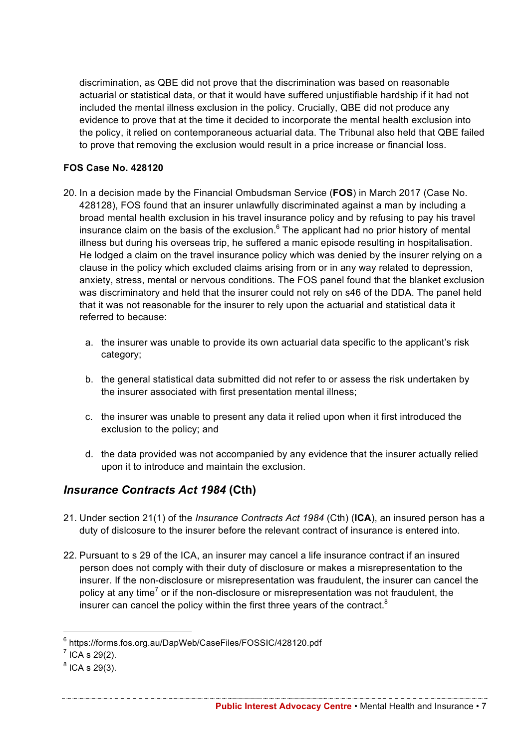discrimination, as QBE did not prove that the discrimination was based on reasonable actuarial or statistical data, or that it would have suffered unjustifiable hardship if it had not included the mental illness exclusion in the policy. Crucially, QBE did not produce any evidence to prove that at the time it decided to incorporate the mental health exclusion into the policy, it relied on contemporaneous actuarial data. The Tribunal also held that QBE failed to prove that removing the exclusion would result in a price increase or financial loss.

#### **FOS Case No. 428120**

- 20. In a decision made by the Financial Ombudsman Service (**FOS**) in March 2017 (Case No. 428128), FOS found that an insurer unlawfully discriminated against a man by including a broad mental health exclusion in his travel insurance policy and by refusing to pay his travel insurance claim on the basis of the exclusion. $6$  The applicant had no prior history of mental illness but during his overseas trip, he suffered a manic episode resulting in hospitalisation. He lodged a claim on the travel insurance policy which was denied by the insurer relying on a clause in the policy which excluded claims arising from or in any way related to depression, anxiety, stress, mental or nervous conditions. The FOS panel found that the blanket exclusion was discriminatory and held that the insurer could not rely on s46 of the DDA. The panel held that it was not reasonable for the insurer to rely upon the actuarial and statistical data it referred to because:
	- a. the insurer was unable to provide its own actuarial data specific to the applicant's risk category;
	- b. the general statistical data submitted did not refer to or assess the risk undertaken by the insurer associated with first presentation mental illness;
	- c. the insurer was unable to present any data it relied upon when it first introduced the exclusion to the policy; and
	- d. the data provided was not accompanied by any evidence that the insurer actually relied upon it to introduce and maintain the exclusion.

## *Insurance Contracts Act 1984* **(Cth)**

- 21. Under section 21(1) of the *Insurance Contracts Act 1984* (Cth) (**ICA**), an insured person has a duty of dislcosure to the insurer before the relevant contract of insurance is entered into.
- 22. Pursuant to s 29 of the ICA, an insurer may cancel a life insurance contract if an insured person does not comply with their duty of disclosure or makes a misrepresentation to the insurer. If the non-disclosure or misrepresentation was fraudulent, the insurer can cancel the policy at any time<sup>7</sup> or if the non-disclosure or misrepresentation was not fraudulent, the insurer can cancel the policy within the first three years of the contract.<sup>8</sup>

 <sup>6</sup> https://forms.fos.org.au/DapWeb/CaseFiles/FOSSIC/428120.pdf

 $<sup>7</sup>$  ICA s 29(2).</sup>

 $8$  ICA s 29(3).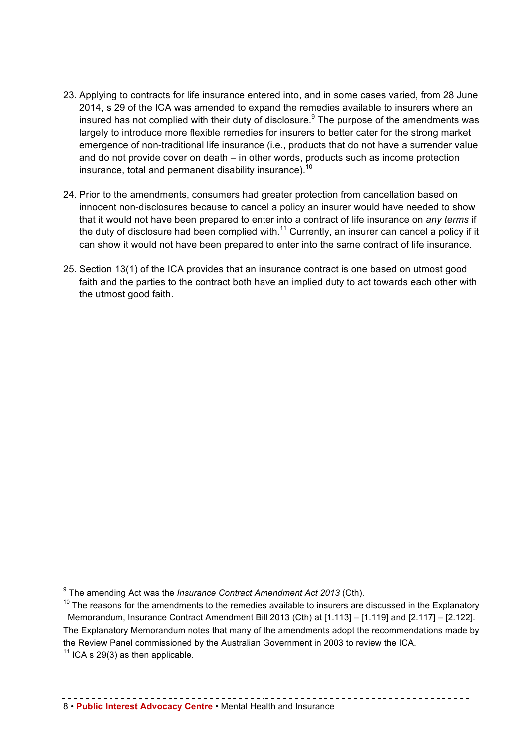- 23. Applying to contracts for life insurance entered into, and in some cases varied, from 28 June 2014, s 29 of the ICA was amended to expand the remedies available to insurers where an insured has not complied with their duty of disclosure.<sup>9</sup> The purpose of the amendments was largely to introduce more flexible remedies for insurers to better cater for the strong market emergence of non-traditional life insurance (i.e., products that do not have a surrender value and do not provide cover on death – in other words, products such as income protection insurance, total and permanent disability insurance).<sup>10</sup>
- 24. Prior to the amendments, consumers had greater protection from cancellation based on innocent non-disclosures because to cancel a policy an insurer would have needed to show that it would not have been prepared to enter into *a* contract of life insurance on *any terms* if the duty of disclosure had been complied with.<sup>11</sup> Currently, an insurer can cancel a policy if it can show it would not have been prepared to enter into the same contract of life insurance.
- 25. Section 13(1) of the ICA provides that an insurance contract is one based on utmost good faith and the parties to the contract both have an implied duty to act towards each other with the utmost good faith.

 <sup>9</sup> The amending Act was the *Insurance Contract Amendment Act 2013* (Cth).

 $10$  The reasons for the amendments to the remedies available to insurers are discussed in the Explanatory Memorandum, Insurance Contract Amendment Bill 2013 (Cth) at [1.113] – [1.119] and [2.117] – [2.122]. The Explanatory Memorandum notes that many of the amendments adopt the recommendations made by the Review Panel commissioned by the Australian Government in 2003 to review the ICA.

 $11$  ICA s 29(3) as then applicable.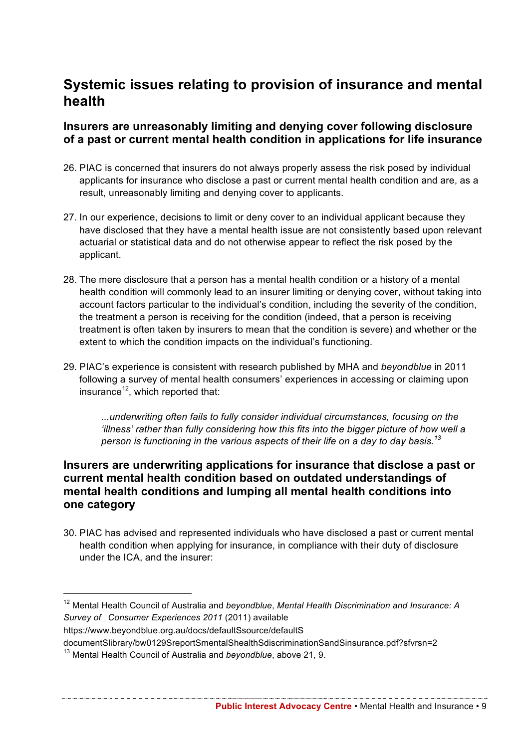## **Systemic issues relating to provision of insurance and mental health**

### **Insurers are unreasonably limiting and denying cover following disclosure of a past or current mental health condition in applications for life insurance**

- 26. PIAC is concerned that insurers do not always properly assess the risk posed by individual applicants for insurance who disclose a past or current mental health condition and are, as a result, unreasonably limiting and denying cover to applicants.
- 27. In our experience, decisions to limit or deny cover to an individual applicant because they have disclosed that they have a mental health issue are not consistently based upon relevant actuarial or statistical data and do not otherwise appear to reflect the risk posed by the applicant.
- 28. The mere disclosure that a person has a mental health condition or a history of a mental health condition will commonly lead to an insurer limiting or denying cover, without taking into account factors particular to the individual's condition, including the severity of the condition, the treatment a person is receiving for the condition (indeed, that a person is receiving treatment is often taken by insurers to mean that the condition is severe) and whether or the extent to which the condition impacts on the individual's functioning.
- 29. PIAC's experience is consistent with research published by MHA and *beyondblue* in 2011 following a survey of mental health consumers' experiences in accessing or claiming upon insurance $12$ , which reported that:

*...underwriting often fails to fully consider individual circumstances, focusing on the 'illness' rather than fully considering how this fits into the bigger picture of how well a person is functioning in the various aspects of their life on a day to day basis.<sup>13</sup>*

## **Insurers are underwriting applications for insurance that disclose a past or current mental health condition based on outdated understandings of mental health conditions and lumping all mental health conditions into one category**

30. PIAC has advised and represented individuals who have disclosed a past or current mental health condition when applying for insurance, in compliance with their duty of disclosure under the ICA, and the insurer:

https://www.beyondblue.org.au/docs/defaultSsource/defaultS

documentSlibrary/bw0129SreportSmentalShealthSdiscriminationSandSinsurance.pdf?sfvrsn=2

 <sup>12</sup> Mental Health Council of Australia and *beyondblue*, *Mental Health Discrimination and Insurance: A Survey of Consumer Experiences 2011* (2011) available

<sup>13</sup> Mental Health Council of Australia and *beyondblue*, above 21, 9.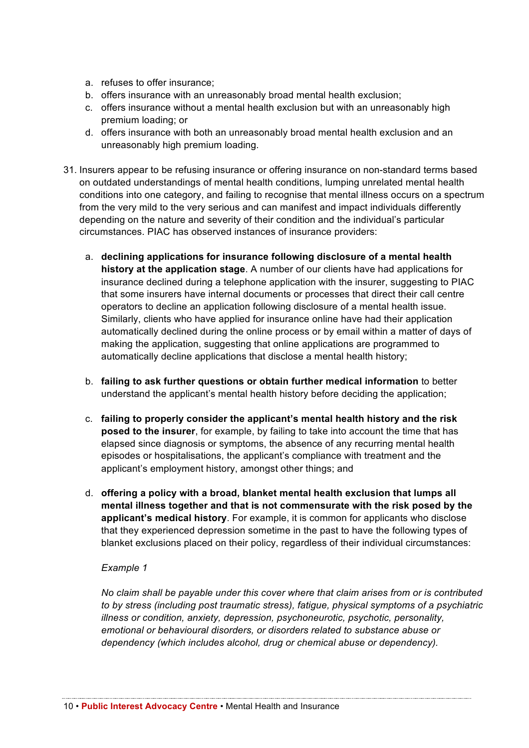- a. refuses to offer insurance;
- b. offers insurance with an unreasonably broad mental health exclusion;
- c. offers insurance without a mental health exclusion but with an unreasonably high premium loading; or
- d. offers insurance with both an unreasonably broad mental health exclusion and an unreasonably high premium loading.
- 31. Insurers appear to be refusing insurance or offering insurance on non-standard terms based on outdated understandings of mental health conditions, lumping unrelated mental health conditions into one category, and failing to recognise that mental illness occurs on a spectrum from the very mild to the very serious and can manifest and impact individuals differently depending on the nature and severity of their condition and the individual's particular circumstances. PIAC has observed instances of insurance providers:
	- a. **declining applications for insurance following disclosure of a mental health history at the application stage**. A number of our clients have had applications for insurance declined during a telephone application with the insurer, suggesting to PIAC that some insurers have internal documents or processes that direct their call centre operators to decline an application following disclosure of a mental health issue. Similarly, clients who have applied for insurance online have had their application automatically declined during the online process or by email within a matter of days of making the application, suggesting that online applications are programmed to automatically decline applications that disclose a mental health history;
	- b. **failing to ask further questions or obtain further medical information** to better understand the applicant's mental health history before deciding the application; -
	- c. **failing to properly consider the applicant's mental health history and the risk posed to the insurer**, for example, by failing to take into account the time that has elapsed since diagnosis or symptoms, the absence of any recurring mental health episodes or hospitalisations, the applicant's compliance with treatment and the applicant's employment history, amongst other things; and
	- d. **offering a policy with a broad, blanket mental health exclusion that lumps all mental illness together and that is not commensurate with the risk posed by the applicant's medical history**. For example, it is common for applicants who disclose that they experienced depression sometime in the past to have the following types of blanket exclusions placed on their policy, regardless of their individual circumstances:

#### *Example 1*

*No claim shall be payable under this cover where that claim arises from or is contributed to by stress (including post traumatic stress), fatigue, physical symptoms of a psychiatric illness or condition, anxiety, depression, psychoneurotic, psychotic, personality, emotional or behavioural disorders, or disorders related to substance abuse or dependency (which includes alcohol, drug or chemical abuse or dependency).*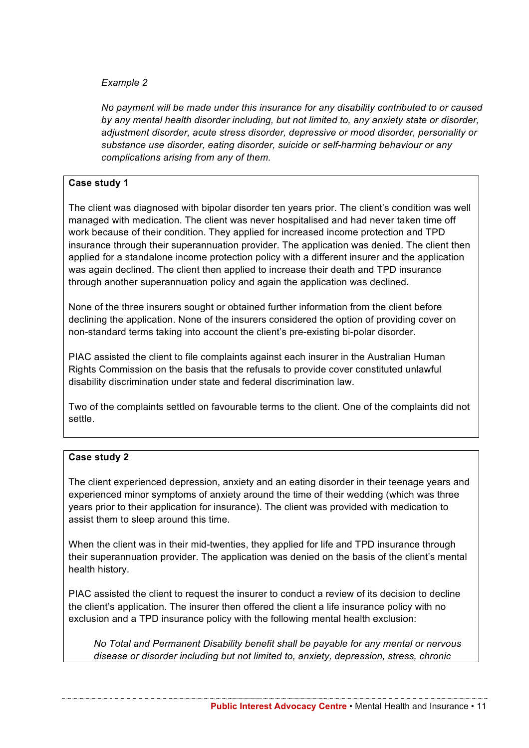#### *Example 2*

*No payment will be made under this insurance for any disability contributed to or caused by any mental health disorder including, but not limited to, any anxiety state or disorder, adjustment disorder, acute stress disorder, depressive or mood disorder, personality or substance use disorder, eating disorder, suicide or self-harming behaviour or any complications arising from any of them.*

#### **Case study 1**

The client was diagnosed with bipolar disorder ten years prior. The client's condition was well managed with medication. The client was never hospitalised and had never taken time off work because of their condition. They applied for increased income protection and TPD insurance through their superannuation provider. The application was denied. The client then applied for a standalone income protection policy with a different insurer and the application was again declined. The client then applied to increase their death and TPD insurance through another superannuation policy and again the application was declined.

None of the three insurers sought or obtained further information from the client before declining the application. None of the insurers considered the option of providing cover on non-standard terms taking into account the client's pre-existing bi-polar disorder.

PIAC assisted the client to file complaints against each insurer in the Australian Human Rights Commission on the basis that the refusals to provide cover constituted unlawful disability discrimination under state and federal discrimination law.

Two of the complaints settled on favourable terms to the client. One of the complaints did not settle.

#### **Case study 2**

The client experienced depression, anxiety and an eating disorder in their teenage years and experienced minor symptoms of anxiety around the time of their wedding (which was three years prior to their application for insurance). The client was provided with medication to assist them to sleep around this time.

When the client was in their mid-twenties, they applied for life and TPD insurance through their superannuation provider. The application was denied on the basis of the client's mental health history.

PIAC assisted the client to request the insurer to conduct a review of its decision to decline the client's application. The insurer then offered the client a life insurance policy with no exclusion and a TPD insurance policy with the following mental health exclusion:

*No Total and Permanent Disability benefit shall be payable for any mental or nervous disease or disorder including but not limited to, anxiety, depression, stress, chronic*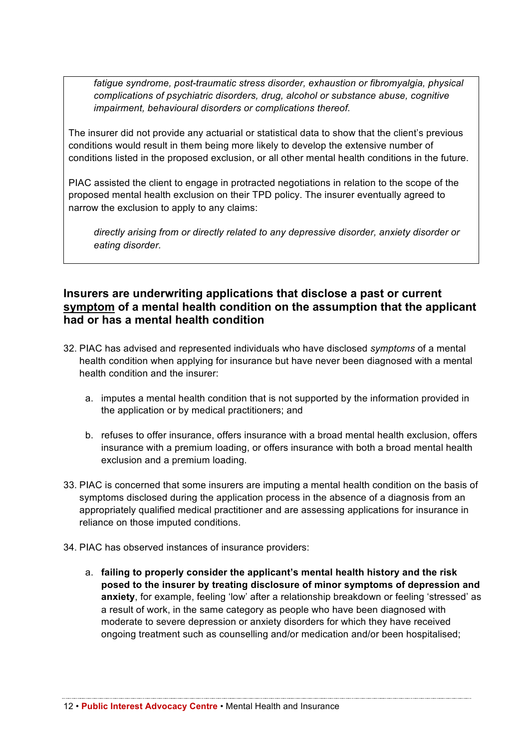*fatigue syndrome, post-traumatic stress disorder, exhaustion or fibromyalgia, physical complications of psychiatric disorders, drug, alcohol or substance abuse, cognitive impairment, behavioural disorders or complications thereof.* 

The insurer did not provide any actuarial or statistical data to show that the client's previous conditions would result in them being more likely to develop the extensive number of conditions listed in the proposed exclusion, or all other mental health conditions in the future.

PIAC assisted the client to engage in protracted negotiations in relation to the scope of the proposed mental health exclusion on their TPD policy. The insurer eventually agreed to narrow the exclusion to apply to any claims:

*directly arising from or directly related to any depressive disorder, anxiety disorder or eating disorder.*

#### **Insurers are underwriting applications that disclose a past or current symptom of a mental health condition on the assumption that the applicant had or has a mental health condition**

- 32. PIAC has advised and represented individuals who have disclosed *symptoms* of a mental health condition when applying for insurance but have never been diagnosed with a mental health condition and the insurer:
	- a. imputes a mental health condition that is not supported by the information provided in the application or by medical practitioners; and
	- b. refuses to offer insurance, offers insurance with a broad mental health exclusion, offers insurance with a premium loading, or offers insurance with both a broad mental health exclusion and a premium loading.
- 33. PIAC is concerned that some insurers are imputing a mental health condition on the basis of symptoms disclosed during the application process in the absence of a diagnosis from an appropriately qualified medical practitioner and are assessing applications for insurance in reliance on those imputed conditions.
- 34. PIAC has observed instances of insurance providers:
	- a. **failing to properly consider the applicant's mental health history and the risk posed to the insurer by treating disclosure of minor symptoms of depression and**  anxiety, for example, feeling 'low' after a relationship breakdown or feeling 'stressed' as a result of work, in the same category as people who have been diagnosed with moderate to severe depression or anxiety disorders for which they have received ongoing treatment such as counselling and/or medication and/or been hospitalised;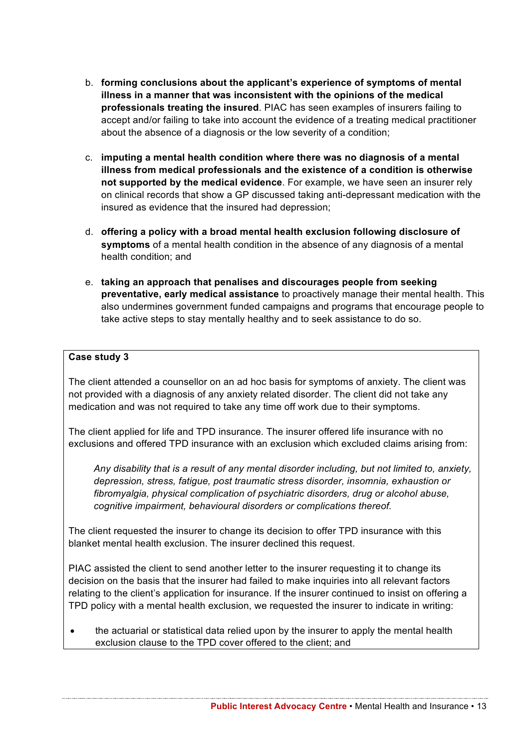- b. **forming conclusions about the applicant's experience of symptoms of mental illness in a manner that was inconsistent with the opinions of the medical professionals treating the insured**. PIAC has seen examples of insurers failing to accept and/or failing to take into account the evidence of a treating medical practitioner about the absence of a diagnosis or the low severity of a condition;
- c. **imputing a mental health condition where there was no diagnosis of a mental illness from medical professionals and the existence of a condition is otherwise not supported by the medical evidence**. For example, we have seen an insurer rely on clinical records that show a GP discussed taking anti-depressant medication with the insured as evidence that the insured had depression;
- d. **offering a policy with a broad mental health exclusion following disclosure of symptoms** of a mental health condition in the absence of any diagnosis of a mental health condition; and
- e. **taking an approach that penalises and discourages people from seeking preventative, early medical assistance** to proactively manage their mental health. This also undermines government funded campaigns and programs that encourage people to take active steps to stay mentally healthy and to seek assistance to do so.

#### **Case study 3**

The client attended a counsellor on an ad hoc basis for symptoms of anxiety. The client was not provided with a diagnosis of any anxiety related disorder. The client did not take any medication and was not required to take any time off work due to their symptoms.

The client applied for life and TPD insurance. The insurer offered life insurance with no exclusions and offered TPD insurance with an exclusion which excluded claims arising from:

*Any disability that is a result of any mental disorder including, but not limited to, anxiety, depression, stress, fatigue, post traumatic stress disorder, insomnia, exhaustion or fibromyalgia, physical complication of psychiatric disorders, drug or alcohol abuse, cognitive impairment, behavioural disorders or complications thereof.*

The client requested the insurer to change its decision to offer TPD insurance with this blanket mental health exclusion. The insurer declined this request.

PIAC assisted the client to send another letter to the insurer requesting it to change its decision on the basis that the insurer had failed to make inquiries into all relevant factors relating to the client's application for insurance. If the insurer continued to insist on offering a TPD policy with a mental health exclusion, we requested the insurer to indicate in writing:

• the actuarial or statistical data relied upon by the insurer to apply the mental health exclusion clause to the TPD cover offered to the client; and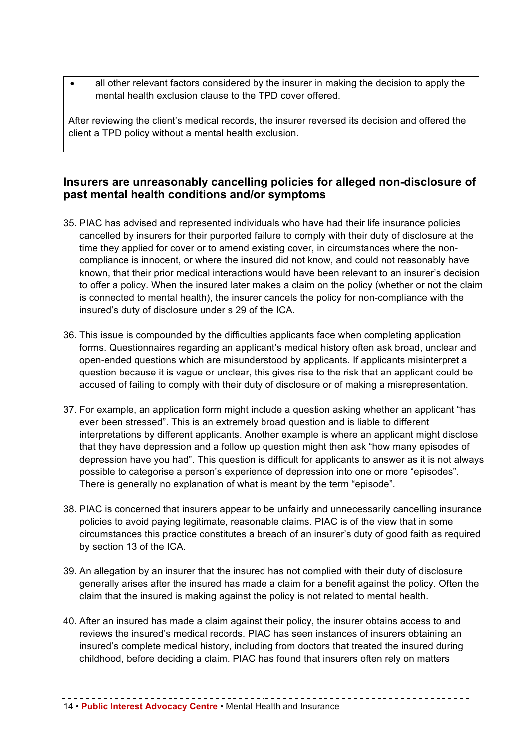• all other relevant factors considered by the insurer in making the decision to apply the mental health exclusion clause to the TPD cover offered.

After reviewing the client's medical records, the insurer reversed its decision and offered the client a TPD policy without a mental health exclusion.

### **Insurers are unreasonably cancelling policies for alleged non-disclosure of past mental health conditions and/or symptoms**

- 35. PIAC has advised and represented individuals who have had their life insurance policies cancelled by insurers for their purported failure to comply with their duty of disclosure at the time they applied for cover or to amend existing cover, in circumstances where the noncompliance is innocent, or where the insured did not know, and could not reasonably have known, that their prior medical interactions would have been relevant to an insurer's decision to offer a policy. When the insured later makes a claim on the policy (whether or not the claim is connected to mental health), the insurer cancels the policy for non-compliance with the insured's duty of disclosure under s 29 of the ICA.
- 36. This issue is compounded by the difficulties applicants face when completing application forms. Questionnaires regarding an applicant's medical history often ask broad, unclear and open-ended questions which are misunderstood by applicants. If applicants misinterpret a question because it is vague or unclear, this gives rise to the risk that an applicant could be accused of failing to comply with their duty of disclosure or of making a misrepresentation.
- 37. For example, an application form might include a question asking whether an applicant "has ever been stressed". This is an extremely broad question and is liable to different interpretations by different applicants. Another example is where an applicant might disclose that they have depression and a follow up question might then ask "how many episodes of depression have you had". This question is difficult for applicants to answer as it is not always possible to categorise a person's experience of depression into one or more "episodes". There is generally no explanation of what is meant by the term "episode".
- 38. PIAC is concerned that insurers appear to be unfairly and unnecessarily cancelling insurance policies to avoid paying legitimate, reasonable claims. PIAC is of the view that in some circumstances this practice constitutes a breach of an insurer's duty of good faith as required by section 13 of the ICA.
- 39. An allegation by an insurer that the insured has not complied with their duty of disclosure generally arises after the insured has made a claim for a benefit against the policy. Often the claim that the insured is making against the policy is not related to mental health.
- 40. After an insured has made a claim against their policy, the insurer obtains access to and reviews the insured's medical records. PIAC has seen instances of insurers obtaining an insured's complete medical history, including from doctors that treated the insured during childhood, before deciding a claim. PIAC has found that insurers often rely on matters

14 • **Public Interest Advocacy Centre** • Mental Health and Insurance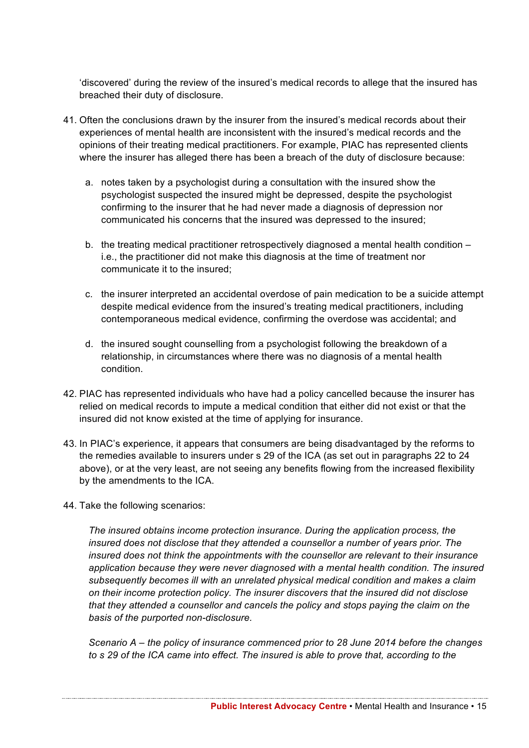'discovered' during the review of the insured's medical records to allege that the insured has breached their duty of disclosure.

- 41. Often the conclusions drawn by the insurer from the insured's medical records about their experiences of mental health are inconsistent with the insured's medical records and the opinions of their treating medical practitioners. For example, PIAC has represented clients where the insurer has alleged there has been a breach of the duty of disclosure because:
	- a. notes taken by a psychologist during a consultation with the insured show the psychologist suspected the insured might be depressed, despite the psychologist confirming to the insurer that he had never made a diagnosis of depression nor communicated his concerns that the insured was depressed to the insured; -
	- b. the treating medical practitioner retrospectively diagnosed a mental health condition i.e., the practitioner did not make this diagnosis at the time of treatment nor communicate it to the insured;
	- c. the insurer interpreted an accidental overdose of pain medication to be a suicide attempt despite medical evidence from the insured's treating medical practitioners, including contemporaneous medical evidence, confirming the overdose was accidental; and
	- d. the insured sought counselling from a psychologist following the breakdown of a relationship, in circumstances where there was no diagnosis of a mental health condition.
- 42. PIAC has represented individuals who have had a policy cancelled because the insurer has relied on medical records to impute a medical condition that either did not exist or that the insured did not know existed at the time of applying for insurance.
- 43. In PIAC's experience, it appears that consumers are being disadvantaged by the reforms to the remedies available to insurers under s 29 of the ICA (as set out in paragraphs 22 to 24 above), or at the very least, are not seeing any benefits flowing from the increased flexibility by the amendments to the ICA.
- 44. Take the following scenarios:

*The insured obtains income protection insurance. During the application process, the insured does not disclose that they attended a counsellor a number of years prior. The insured does not think the appointments with the counsellor are relevant to their insurance application because they were never diagnosed with a mental health condition. The insured subsequently becomes ill with an unrelated physical medical condition and makes a claim on their income protection policy. The insurer discovers that the insured did not disclose that they attended a counsellor and cancels the policy and stops paying the claim on the basis of the purported non-disclosure.*

*Scenario A – the policy of insurance commenced prior to 28 June 2014 before the changes to s 29 of the ICA came into effect. The insured is able to prove that, according to the* 

**Public Interest Advocacy Centre** • Mental Health and Insurance • 15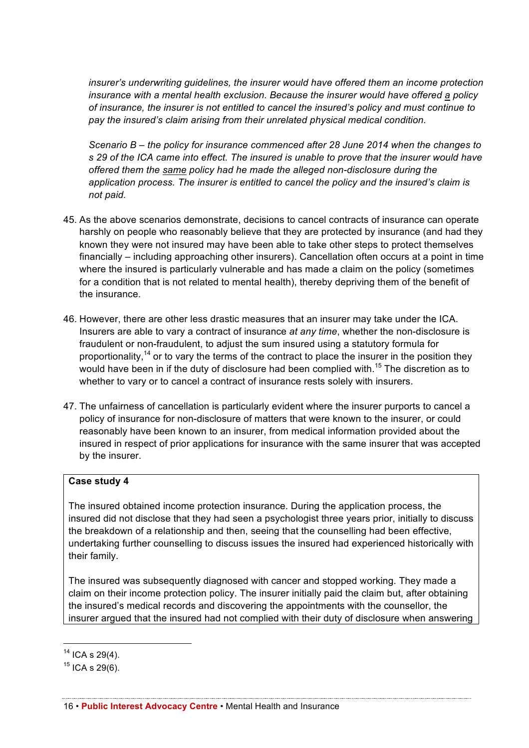*insurer's underwriting guidelines, the insurer would have offered them an income protection insurance with a mental health exclusion. Because the insurer would have offered a policy of insurance, the insurer is not entitled to cancel the insured's policy and must continue to pay the insured's claim arising from their unrelated physical medical condition.* 

*Scenario B – the policy for insurance commenced after 28 June 2014 when the changes to s 29 of the ICA came into effect. The insured is unable to prove that the insurer would have offered them the same policy had he made the alleged non-disclosure during the application process. The insurer is entitled to cancel the policy and the insured's claim is not paid.* 

- 45. As the above scenarios demonstrate, decisions to cancel contracts of insurance can operate harshly on people who reasonably believe that they are protected by insurance (and had they known they were not insured may have been able to take other steps to protect themselves financially – including approaching other insurers). Cancellation often occurs at a point in time where the insured is particularly vulnerable and has made a claim on the policy (sometimes for a condition that is not related to mental health), thereby depriving them of the benefit of the insurance.
- 46. However, there are other less drastic measures that an insurer may take under the ICA. Insurers are able to vary a contract of insurance *at any time*, whether the non-disclosure is fraudulent or non-fraudulent, to adjust the sum insured using a statutory formula for proportionality,  $14$  or to vary the terms of the contract to place the insurer in the position they would have been in if the duty of disclosure had been complied with.<sup>15</sup> The discretion as to whether to vary or to cancel a contract of insurance rests solely with insurers.
- 47. The unfairness of cancellation is particularly evident where the insurer purports to cancel a policy of insurance for non-disclosure of matters that were known to the insurer, or could reasonably have been known to an insurer, from medical information provided about the insured in respect of prior applications for insurance with the same insurer that was accepted by the insurer.

#### **Case study 4**

The insured obtained income protection insurance. During the application process, the insured did not disclose that they had seen a psychologist three years prior, initially to discuss the breakdown of a relationship and then, seeing that the counselling had been effective, undertaking further counselling to discuss issues the insured had experienced historically with their family.

The insured was subsequently diagnosed with cancer and stopped working. They made a claim on their income protection policy. The insurer initially paid the claim but, after obtaining the insured's medical records and discovering the appointments with the counsellor, the insurer argued that the insured had not complied with their duty of disclosure when answering

 $14$  ICA s 29(4).

 $15$  ICA s 29(6).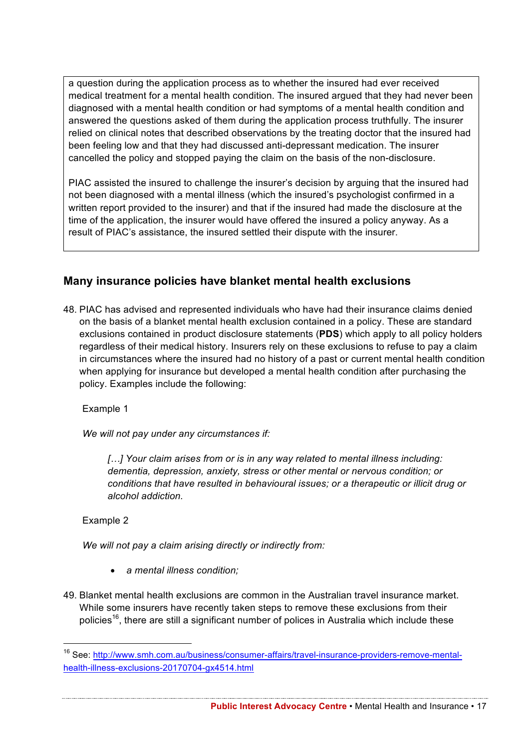a question during the application process as to whether the insured had ever received medical treatment for a mental health condition. The insured argued that they had never been diagnosed with a mental health condition or had symptoms of a mental health condition and answered the questions asked of them during the application process truthfully. The insurer relied on clinical notes that described observations by the treating doctor that the insured had been feeling low and that they had discussed anti-depressant medication. The insurer cancelled the policy and stopped paying the claim on the basis of the non-disclosure.

PIAC assisted the insured to challenge the insurer's decision by arguing that the insured had not been diagnosed with a mental illness (which the insured's psychologist confirmed in a written report provided to the insurer) and that if the insured had made the disclosure at the time of the application, the insurer would have offered the insured a policy anyway. As a result of PIAC's assistance, the insured settled their dispute with the insurer.

## **Many insurance policies have blanket mental health exclusions**

48. PIAC has advised and represented individuals who have had their insurance claims denied on the basis of a blanket mental health exclusion contained in a policy. These are standard exclusions contained in product disclosure statements (**PDS**) which apply to all policy holders regardless of their medical history. Insurers rely on these exclusions to refuse to pay a claim in circumstances where the insured had no history of a past or current mental health condition when applying for insurance but developed a mental health condition after purchasing the policy. Examples include the following:

Example 1

*We will not pay under any circumstances if:* 

*[…] Your claim arises from or is in any way related to mental illness including: dementia, depression, anxiety, stress or other mental or nervous condition; or conditions that have resulted in behavioural issues; or a therapeutic or illicit drug or alcohol addiction.*

Example 2

*We will not pay a claim arising directly or indirectly from:* 

- *a mental illness condition;*
- 49. Blanket mental health exclusions are common in the Australian travel insurance market. While some insurers have recently taken steps to remove these exclusions from their policies<sup>16</sup>, there are still a significant number of polices in Australia which include these

**Public Interest Advocacy Centre** • Mental Health and Insurance • 17

 <sup>16</sup> See: http://www.smh.com.au/business/consumer-affairs/travel-insurance-providers-remove-mentalhealth-illness-exclusions-20170704-gx4514.html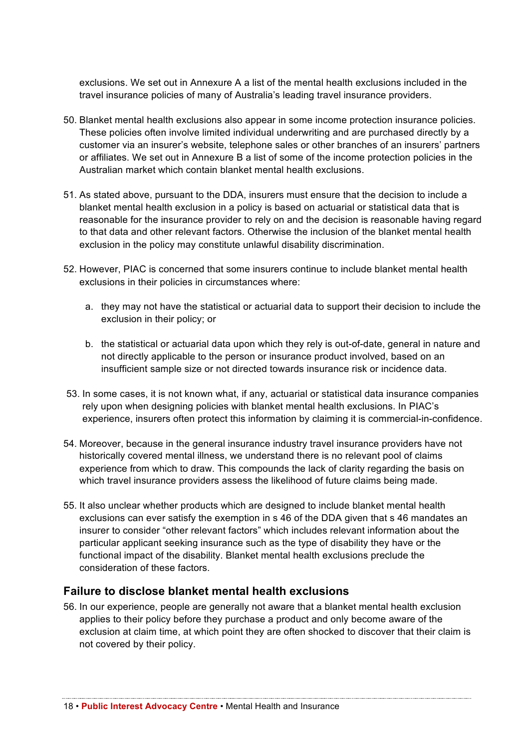exclusions. We set out in Annexure A a list of the mental health exclusions included in the travel insurance policies of many of Australia's leading travel insurance providers.

- 50. Blanket mental health exclusions also appear in some income protection insurance policies. These policies often involve limited individual underwriting and are purchased directly by a customer via an insurer's website, telephone sales or other branches of an insurers' partners or affiliates. We set out in Annexure B a list of some of the income protection policies in the Australian market which contain blanket mental health exclusions.
- 51. As stated above, pursuant to the DDA, insurers must ensure that the decision to include a blanket mental health exclusion in a policy is based on actuarial or statistical data that is reasonable for the insurance provider to rely on and the decision is reasonable having regard to that data and other relevant factors. Otherwise the inclusion of the blanket mental health exclusion in the policy may constitute unlawful disability discrimination.
- 52. However, PIAC is concerned that some insurers continue to include blanket mental health exclusions in their policies in circumstances where:
	- a. they may not have the statistical or actuarial data to support their decision to include the exclusion in their policy; or
	- b. the statistical or actuarial data upon which they rely is out-of-date, general in nature and not directly applicable to the person or insurance product involved, based on an insufficient sample size or not directed towards insurance risk or incidence data.
- 53. In some cases, it is not known what, if any, actuarial or statistical data insurance companies rely upon when designing policies with blanket mental health exclusions. In PIAC's experience, insurers often protect this information by claiming it is commercial-in-confidence.
- 54. Moreover, because in the general insurance industry travel insurance providers have not historically covered mental illness, we understand there is no relevant pool of claims experience from which to draw. This compounds the lack of clarity regarding the basis on which travel insurance providers assess the likelihood of future claims being made.
- 55. It also unclear whether products which are designed to include blanket mental health exclusions can ever satisfy the exemption in s 46 of the DDA given that s 46 mandates an insurer to consider "other relevant factors" which includes relevant information about the particular applicant seeking insurance such as the type of disability they have or the functional impact of the disability. Blanket mental health exclusions preclude the consideration of these factors.

## **Failure to disclose blanket mental health exclusions**

56. In our experience, people are generally not aware that a blanket mental health exclusion applies to their policy before they purchase a product and only become aware of the exclusion at claim time, at which point they are often shocked to discover that their claim is not covered by their policy.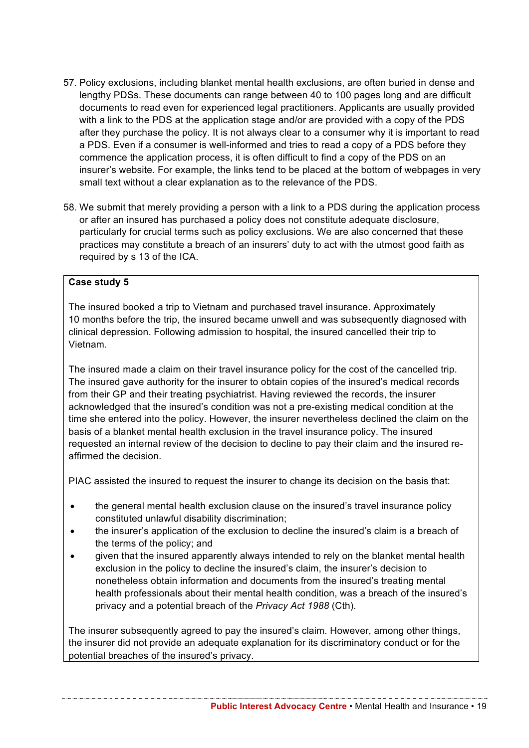- 57. Policy exclusions, including blanket mental health exclusions, are often buried in dense and lengthy PDSs. These documents can range between 40 to 100 pages long and are difficult documents to read even for experienced legal practitioners. Applicants are usually provided with a link to the PDS at the application stage and/or are provided with a copy of the PDS after they purchase the policy. It is not always clear to a consumer why it is important to read a PDS. Even if a consumer is well-informed and tries to read a copy of a PDS before they commence the application process, it is often difficult to find a copy of the PDS on an insurer's website. For example, the links tend to be placed at the bottom of webpages in very small text without a clear explanation as to the relevance of the PDS.
- 58. We submit that merely providing a person with a link to a PDS during the application process or after an insured has purchased a policy does not constitute adequate disclosure, particularly for crucial terms such as policy exclusions. We are also concerned that these practices may constitute a breach of an insurers' duty to act with the utmost good faith as required by s 13 of the ICA.

#### **Case study 5**

The insured booked a trip to Vietnam and purchased travel insurance. Approximately 10 months before the trip, the insured became unwell and was subsequently diagnosed with clinical depression. Following admission to hospital, the insured cancelled their trip to Vietnam.

The insured made a claim on their travel insurance policy for the cost of the cancelled trip. The insured gave authority for the insurer to obtain copies of the insured's medical records from their GP and their treating psychiatrist. Having reviewed the records, the insurer acknowledged that the insured's condition was not a pre-existing medical condition at the time she entered into the policy. However, the insurer nevertheless declined the claim on the basis of a blanket mental health exclusion in the travel insurance policy. The insured requested an internal review of the decision to decline to pay their claim and the insured reaffirmed the decision.

PIAC assisted the insured to request the insurer to change its decision on the basis that:

- the general mental health exclusion clause on the insured's travel insurance policy constituted unlawful disability discrimination;
- the insurer's application of the exclusion to decline the insured's claim is a breach of the terms of the policy; and
- given that the insured apparently always intended to rely on the blanket mental health exclusion in the policy to decline the insured's claim, the insurer's decision to nonetheless obtain information and documents from the insured's treating mental health professionals about their mental health condition, was a breach of the insured's privacy and a potential breach of the *Privacy Act 1988* (Cth).

The insurer subsequently agreed to pay the insured's claim. However, among other things, the insurer did not provide an adequate explanation for its discriminatory conduct or for the potential breaches of the insured's privacy.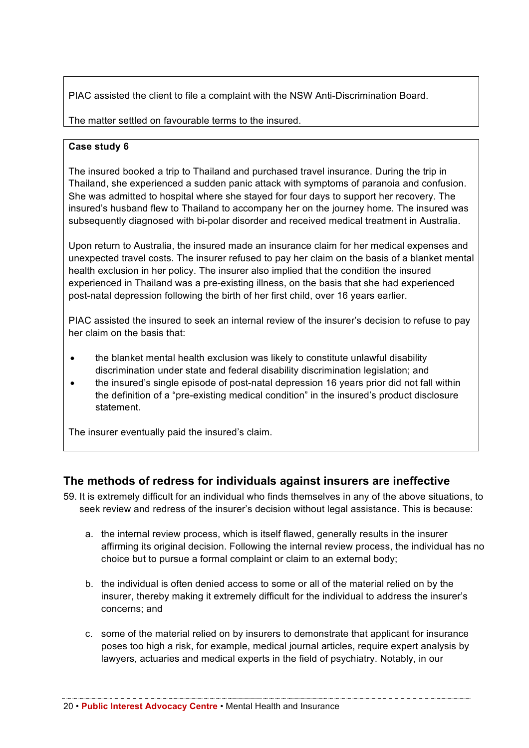PIAC assisted the client to file a complaint with the NSW Anti-Discrimination Board.

The matter settled on favourable terms to the insured.

#### **Case study 6**

The insured booked a trip to Thailand and purchased travel insurance. During the trip in Thailand, she experienced a sudden panic attack with symptoms of paranoia and confusion. She was admitted to hospital where she stayed for four days to support her recovery. The insured's husband flew to Thailand to accompany her on the journey home. The insured was subsequently diagnosed with bi-polar disorder and received medical treatment in Australia.

Upon return to Australia, the insured made an insurance claim for her medical expenses and unexpected travel costs. The insurer refused to pay her claim on the basis of a blanket mental health exclusion in her policy. The insurer also implied that the condition the insured experienced in Thailand was a pre-existing illness, on the basis that she had experienced post-natal depression following the birth of her first child, over 16 years earlier.

PIAC assisted the insured to seek an internal review of the insurer's decision to refuse to pay her claim on the basis that:

- the blanket mental health exclusion was likely to constitute unlawful disability discrimination under state and federal disability discrimination legislation; and
- the insured's single episode of post-natal depression 16 years prior did not fall within the definition of a "pre-existing medical condition" in the insured's product disclosure statement.

The insurer eventually paid the insured's claim.

## **The methods of redress for individuals against insurers are ineffective**

- 59. It is extremely difficult for an individual who finds themselves in any of the above situations, to seek review and redress of the insurer's decision without legal assistance. This is because:
	- a. the internal review process, which is itself flawed, generally results in the insurer affirming its original decision. Following the internal review process, the individual has no choice but to pursue a formal complaint or claim to an external body;
	- b. the individual is often denied access to some or all of the material relied on by the insurer, thereby making it extremely difficult for the individual to address the insurer's concerns; and
	- c. some of the material relied on by insurers to demonstrate that applicant for insurance poses too high a risk, for example, medical journal articles, require expert analysis by lawyers, actuaries and medical experts in the field of psychiatry. Notably, in our

20 • **Public Interest Advocacy Centre** • Mental Health and Insurance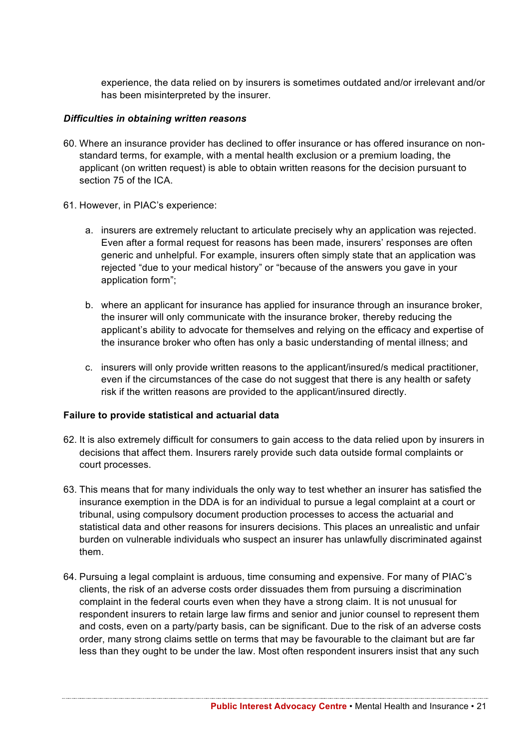experience, the data relied on by insurers is sometimes outdated and/or irrelevant and/or has been misinterpreted by the insurer.

#### *Difficulties in obtaining written reasons*

- 60. Where an insurance provider has declined to offer insurance or has offered insurance on nonstandard terms, for example, with a mental health exclusion or a premium loading, the applicant (on written request) is able to obtain written reasons for the decision pursuant to section 75 of the ICA.
- 61. However, in PIAC's experience:
	- a. insurers are extremely reluctant to articulate precisely why an application was rejected. Even after a formal request for reasons has been made, insurers' responses are often generic and unhelpful. For example, insurers often simply state that an application was rejected "due to your medical history" or "because of the answers you gave in your application form";
	- b. where an applicant for insurance has applied for insurance through an insurance broker, the insurer will only communicate with the insurance broker, thereby reducing the applicant's ability to advocate for themselves and relying on the efficacy and expertise of the insurance broker who often has only a basic understanding of mental illness; and
	- c. insurers will only provide written reasons to the applicant/insured/s medical practitioner, even if the circumstances of the case do not suggest that there is any health or safety risk if the written reasons are provided to the applicant/insured directly.

#### **Failure to provide statistical and actuarial data**

- 62. It is also extremely difficult for consumers to gain access to the data relied upon by insurers in decisions that affect them. Insurers rarely provide such data outside formal complaints or court processes.
- 63. This means that for many individuals the only way to test whether an insurer has satisfied the insurance exemption in the DDA is for an individual to pursue a legal complaint at a court or tribunal, using compulsory document production processes to access the actuarial and statistical data and other reasons for insurers decisions. This places an unrealistic and unfair burden on vulnerable individuals who suspect an insurer has unlawfully discriminated against them.
- 64. Pursuing a legal complaint is arduous, time consuming and expensive. For many of PIAC's clients, the risk of an adverse costs order dissuades them from pursuing a discrimination complaint in the federal courts even when they have a strong claim. It is not unusual for respondent insurers to retain large law firms and senior and junior counsel to represent them and costs, even on a party/party basis, can be significant. Due to the risk of an adverse costs order, many strong claims settle on terms that may be favourable to the claimant but are far less than they ought to be under the law. Most often respondent insurers insist that any such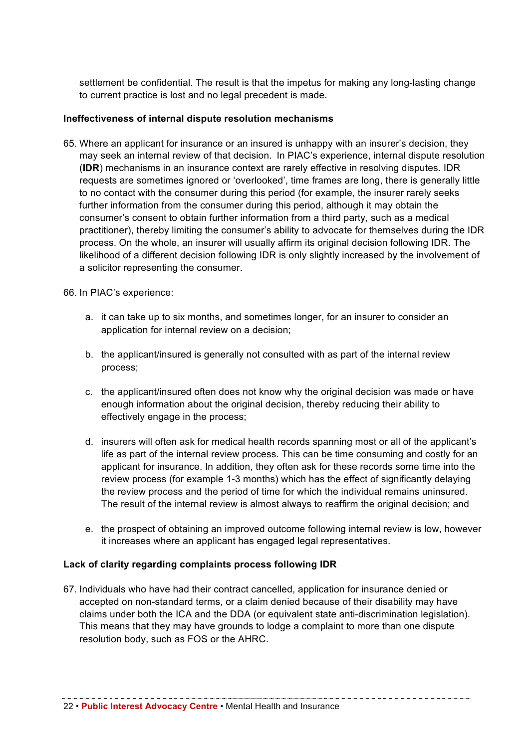settlement be confidential. The result is that the impetus for making any long-lasting change to current practice is lost and no legal precedent is made.

#### **Ineffectiveness of internal dispute resolution mechanisms**

65. Where an applicant for insurance or an insured is unhappy with an insurer's decision, they may seek an internal review of that decision. In PIAC's experience, internal dispute resolution (**IDR**) mechanisms in an insurance context are rarely effective in resolving disputes. IDR requests are sometimes ignored or 'overlooked', time frames are long, there is generally little to no contact with the consumer during this period (for example, the insurer rarely seeks further information from the consumer during this period, although it may obtain the consumer's consent to obtain further information from a third party, such as a medical practitioner), thereby limiting the consumer's ability to advocate for themselves during the IDR process. On the whole, an insurer will usually affirm its original decision following IDR. The likelihood of a different decision following IDR is only slightly increased by the involvement of a solicitor representing the consumer.

#### 66. In PIAC's experience:

- a. it can take up to six months, and sometimes longer, for an insurer to consider an application for internal review on a decision;
- b. the applicant/insured is generally not consulted with as part of the internal review process;
- c. the applicant/insured often does not know why the original decision was made or have enough information about the original decision, thereby reducing their ability to effectively engage in the process;
- d. insurers will often ask for medical health records spanning most or all of the applicant's life as part of the internal review process. This can be time consuming and costly for an applicant for insurance. In addition, they often ask for these records some time into the review process (for example 1-3 months) which has the effect of significantly delaying the review process and the period of time for which the individual remains uninsured. The result of the internal review is almost always to reaffirm the original decision; and
- e. the prospect of obtaining an improved outcome following internal review is low, however it increases where an applicant has engaged legal representatives.

#### **Lack of clarity regarding complaints process following IDR**

67. Individuals who have had their contract cancelled, application for insurance denied or accepted on non-standard terms, or a claim denied because of their disability may have claims under both the ICA and the DDA (or equivalent state anti-discrimination legislation). This means that they may have grounds to lodge a complaint to more than one dispute resolution body, such as FOS or the AHRC.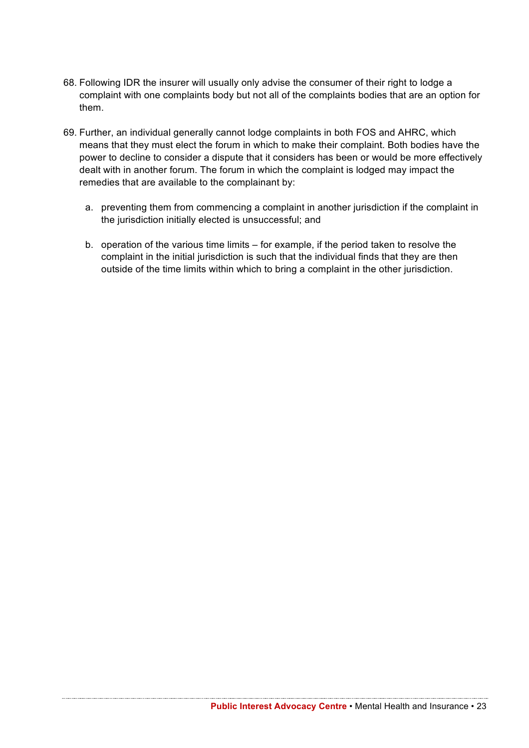- 68. Following IDR the insurer will usually only advise the consumer of their right to lodge a complaint with one complaints body but not all of the complaints bodies that are an option for them.
- 69. Further, an individual generally cannot lodge complaints in both FOS and AHRC, which means that they must elect the forum in which to make their complaint. Both bodies have the power to decline to consider a dispute that it considers has been or would be more effectively dealt with in another forum. The forum in which the complaint is lodged may impact the remedies that are available to the complainant by:
	- a. preventing them from commencing a complaint in another jurisdiction if the complaint in the jurisdiction initially elected is unsuccessful; and
	- b. operation of the various time limits for example, if the period taken to resolve the complaint in the initial jurisdiction is such that the individual finds that they are then outside of the time limits within which to bring a complaint in the other jurisdiction.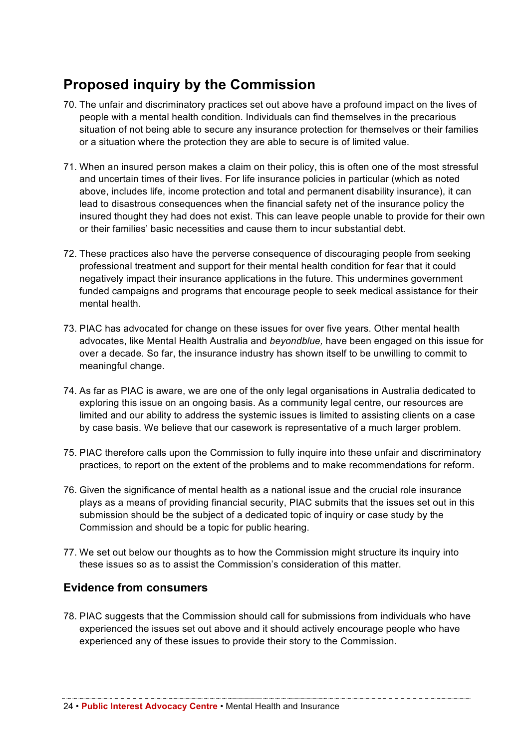## **Proposed inquiry by the Commission**

- 70. The unfair and discriminatory practices set out above have a profound impact on the lives of people with a mental health condition. Individuals can find themselves in the precarious situation of not being able to secure any insurance protection for themselves or their families or a situation where the protection they are able to secure is of limited value.
- 71. When an insured person makes a claim on their policy, this is often one of the most stressful and uncertain times of their lives. For life insurance policies in particular (which as noted above, includes life, income protection and total and permanent disability insurance), it can lead to disastrous consequences when the financial safety net of the insurance policy the insured thought they had does not exist. This can leave people unable to provide for their own or their families' basic necessities and cause them to incur substantial debt.
- 72. These practices also have the perverse consequence of discouraging people from seeking professional treatment and support for their mental health condition for fear that it could negatively impact their insurance applications in the future. This undermines government funded campaigns and programs that encourage people to seek medical assistance for their mental health.
- 73. PIAC has advocated for change on these issues for over five years. Other mental health advocates, like Mental Health Australia and *beyondblue,* have been engaged on this issue for over a decade. So far, the insurance industry has shown itself to be unwilling to commit to meaningful change.
- 74. As far as PIAC is aware, we are one of the only legal organisations in Australia dedicated to exploring this issue on an ongoing basis. As a community legal centre, our resources are limited and our ability to address the systemic issues is limited to assisting clients on a case by case basis. We believe that our casework is representative of a much larger problem.
- 75. PIAC therefore calls upon the Commission to fully inquire into these unfair and discriminatory practices, to report on the extent of the problems and to make recommendations for reform.
- 76. Given the significance of mental health as a national issue and the crucial role insurance plays as a means of providing financial security, PIAC submits that the issues set out in this submission should be the subject of a dedicated topic of inquiry or case study by the Commission and should be a topic for public hearing.
- 77. We set out below our thoughts as to how the Commission might structure its inquiry into these issues so as to assist the Commission's consideration of this matter.

## **Evidence from consumers**

78. PIAC suggests that the Commission should call for submissions from individuals who have experienced the issues set out above and it should actively encourage people who have experienced any of these issues to provide their story to the Commission.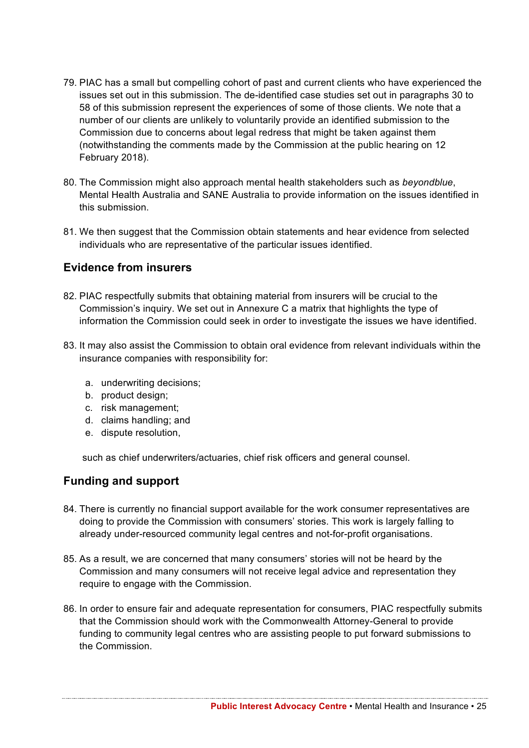- 79. PIAC has a small but compelling cohort of past and current clients who have experienced the issues set out in this submission. The de-identified case studies set out in paragraphs 30 to 58 of this submission represent the experiences of some of those clients. We note that a number of our clients are unlikely to voluntarily provide an identified submission to the Commission due to concerns about legal redress that might be taken against them (notwithstanding the comments made by the Commission at the public hearing on 12 February 2018).
- 80. The Commission might also approach mental health stakeholders such as *beyondblue*, Mental Health Australia and SANE Australia to provide information on the issues identified in this submission.
- 81. We then suggest that the Commission obtain statements and hear evidence from selected individuals who are representative of the particular issues identified.

## **Evidence from insurers**

- 82. PIAC respectfully submits that obtaining material from insurers will be crucial to the Commission's inquiry. We set out in Annexure C a matrix that highlights the type of information the Commission could seek in order to investigate the issues we have identified.
- 83. It may also assist the Commission to obtain oral evidence from relevant individuals within the insurance companies with responsibility for:
	- a. underwriting decisions;
	- b. product design;
	- c. risk management;
	- d. claims handling; and
	- e. dispute resolution,

such as chief underwriters/actuaries, chief risk officers and general counsel.

## **Funding and support**

- 84. There is currently no financial support available for the work consumer representatives are doing to provide the Commission with consumers' stories. This work is largely falling to already under-resourced community legal centres and not-for-profit organisations.
- 85. As a result, we are concerned that many consumers' stories will not be heard by the Commission and many consumers will not receive legal advice and representation they require to engage with the Commission.
- 86. In order to ensure fair and adequate representation for consumers, PIAC respectfully submits that the Commission should work with the Commonwealth Attorney-General to provide funding to community legal centres who are assisting people to put forward submissions to the Commission.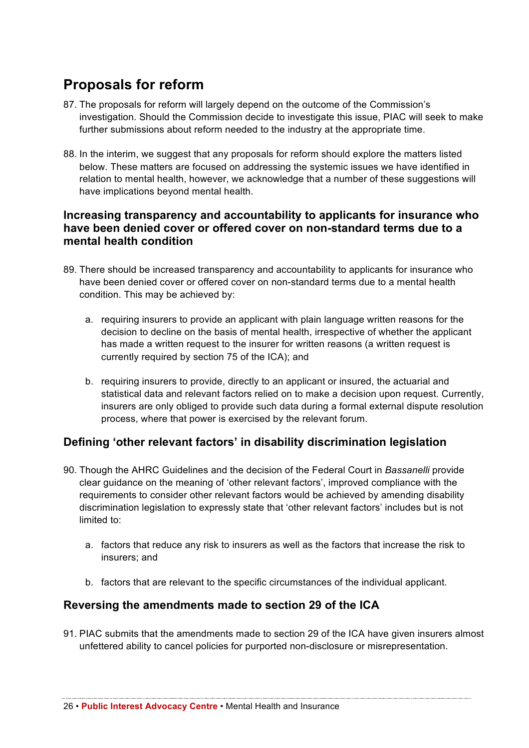## **Proposals for reform**

- 87. The proposals for reform will largely depend on the outcome of the Commission's investigation. Should the Commission decide to investigate this issue, PIAC will seek to make further submissions about reform needed to the industry at the appropriate time.
- 88. In the interim, we suggest that any proposals for reform should explore the matters listed below. These matters are focused on addressing the systemic issues we have identified in relation to mental health, however, we acknowledge that a number of these suggestions will have implications beyond mental health.

### **Increasing transparency and accountability to applicants for insurance who have been denied cover or offered cover on non-standard terms due to a mental health condition**

- 89. There should be increased transparency and accountability to applicants for insurance who have been denied cover or offered cover on non-standard terms due to a mental health condition. This may be achieved by:
	- a. requiring insurers to provide an applicant with plain language written reasons for the decision to decline on the basis of mental health, irrespective of whether the applicant has made a written request to the insurer for written reasons (a written request is currently required by section 75 of the ICA); and
	- b. requiring insurers to provide, directly to an applicant or insured, the actuarial and statistical data and relevant factors relied on to make a decision upon request. Currently, insurers are only obliged to provide such data during a formal external dispute resolution process, where that power is exercised by the relevant forum.

## **Defining 'other relevant factors' in disability discrimination legislation**

- 90. Though the AHRC Guidelines and the decision of the Federal Court in *Bassanelli* provide clear guidance on the meaning of 'other relevant factors', improved compliance with the requirements to consider other relevant factors would be achieved by amending disability discrimination legislation to expressly state that 'other relevant factors' includes but is not limited to:
	- a. factors that reduce any risk to insurers as well as the factors that increase the risk to insurers; and
	- b. factors that are relevant to the specific circumstances of the individual applicant.

## **Reversing the amendments made to section 29 of the ICA**

91. PIAC submits that the amendments made to section 29 of the ICA have given insurers almost unfettered ability to cancel policies for purported non-disclosure or misrepresentation.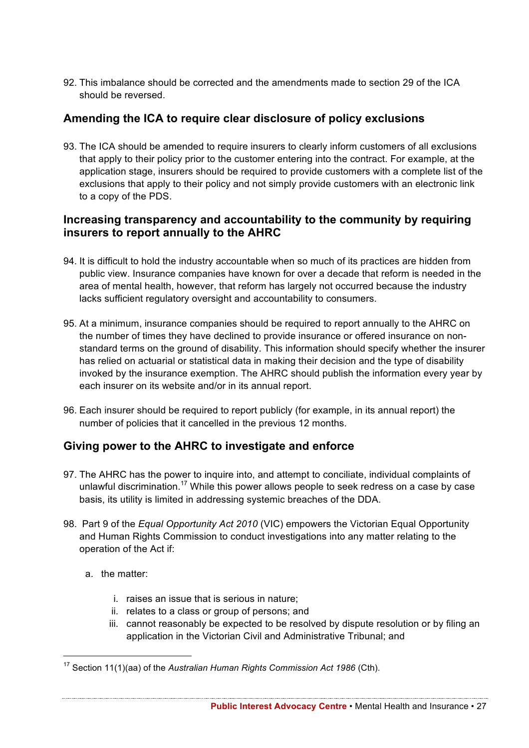92. This imbalance should be corrected and the amendments made to section 29 of the ICA should be reversed.

## **Amending the ICA to require clear disclosure of policy exclusions**

93. The ICA should be amended to require insurers to clearly inform customers of all exclusions that apply to their policy prior to the customer entering into the contract. For example, at the application stage, insurers should be required to provide customers with a complete list of the exclusions that apply to their policy and not simply provide customers with an electronic link to a copy of the PDS.

## **Increasing transparency and accountability to the community by requiring insurers to report annually to the AHRC**

- 94. It is difficult to hold the industry accountable when so much of its practices are hidden from public view. Insurance companies have known for over a decade that reform is needed in the area of mental health, however, that reform has largely not occurred because the industry lacks sufficient regulatory oversight and accountability to consumers.
- 95. At a minimum, insurance companies should be required to report annually to the AHRC on the number of times they have declined to provide insurance or offered insurance on nonstandard terms on the ground of disability. This information should specify whether the insurer has relied on actuarial or statistical data in making their decision and the type of disability invoked by the insurance exemption. The AHRC should publish the information every year by each insurer on its website and/or in its annual report.
- 96. Each insurer should be required to report publicly (for example, in its annual report) the number of policies that it cancelled in the previous 12 months.

## **Giving power to the AHRC to investigate and enforce**

- 97. The AHRC has the power to inquire into, and attempt to conciliate, individual complaints of unlawful discrimination.<sup>17</sup> While this power allows people to seek redress on a case by case basis, its utility is limited in addressing systemic breaches of the DDA.
- 98. Part 9 of the *Equal Opportunity Act 2010* (VIC) empowers the Victorian Equal Opportunity and Human Rights Commission to conduct investigations into any matter relating to the operation of the Act if:
	- a. the matter:
		- i. raises an issue that is serious in nature;
		- ii. relates to a class or group of persons; and
		- iii. cannot reasonably be expected to be resolved by dispute resolution or by filing an application in the Victorian Civil and Administrative Tribunal; and

 <sup>17</sup> Section 11(1)(aa) of the *Australian Human Rights Commission Act 1986* (Cth).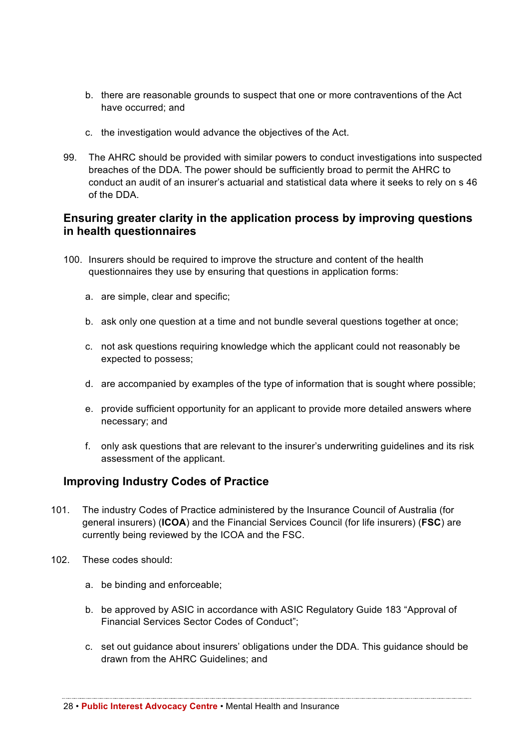- b. there are reasonable grounds to suspect that one or more contraventions of the Act have occurred; and
- c. the investigation would advance the objectives of the Act.
- 99. The AHRC should be provided with similar powers to conduct investigations into suspected breaches of the DDA. The power should be sufficiently broad to permit the AHRC to conduct an audit of an insurer's actuarial and statistical data where it seeks to rely on s 46 of the DDA.

## **Ensuring greater clarity in the application process by improving questions in health questionnaires**

- 100. Insurers should be required to improve the structure and content of the health questionnaires they use by ensuring that questions in application forms:
	- a. are simple, clear and specific;
	- b. ask only one question at a time and not bundle several questions together at once;
	- c. not ask questions requiring knowledge which the applicant could not reasonably be expected to possess;
	- d. are accompanied by examples of the type of information that is sought where possible;
	- e. provide sufficient opportunity for an applicant to provide more detailed answers where necessary; and
	- f. only ask questions that are relevant to the insurer's underwriting guidelines and its risk assessment of the applicant.

## **Improving Industry Codes of Practice**

- 101. The industry Codes of Practice administered by the Insurance Council of Australia (for general insurers) (**ICOA**) and the Financial Services Council (for life insurers) (**FSC**) are currently being reviewed by the ICOA and the FSC.
- 102. These codes should:
	- a. be binding and enforceable;
	- b. be approved by ASIC in accordance with ASIC Regulatory Guide 183 "Approval of Financial Services Sector Codes of Conduct";
	- c. set out guidance about insurers' obligations under the DDA. This guidance should be drawn from the AHRC Guidelines; and

28 • **Public Interest Advocacy Centre** • Mental Health and Insurance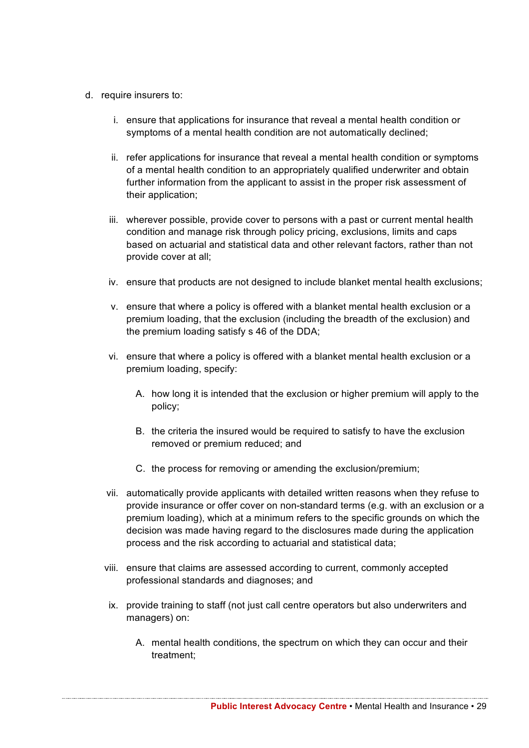- d. require insurers to:
	- i. ensure that applications for insurance that reveal a mental health condition or symptoms of a mental health condition are not automatically declined;
	- ii. refer applications for insurance that reveal a mental health condition or symptoms of a mental health condition to an appropriately qualified underwriter and obtain further information from the applicant to assist in the proper risk assessment of their application;
	- iii. wherever possible, provide cover to persons with a past or current mental health condition and manage risk through policy pricing, exclusions, limits and caps based on actuarial and statistical data and other relevant factors, rather than not provide cover at all;
	- iv. ensure that products are not designed to include blanket mental health exclusions;
	- v. ensure that where a policy is offered with a blanket mental health exclusion or a premium loading, that the exclusion (including the breadth of the exclusion) and the premium loading satisfy s 46 of the DDA;
	- vi. ensure that where a policy is offered with a blanket mental health exclusion or a premium loading, specify:
		- A. how long it is intended that the exclusion or higher premium will apply to the policy;
		- B. the criteria the insured would be required to satisfy to have the exclusion removed or premium reduced; and
		- C. the process for removing or amending the exclusion/premium;
	- vii. automatically provide applicants with detailed written reasons when they refuse to provide insurance or offer cover on non-standard terms (e.g. with an exclusion or a premium loading), which at a minimum refers to the specific grounds on which the decision was made having regard to the disclosures made during the application process and the risk according to actuarial and statistical data;
	- viii. ensure that claims are assessed according to current, commonly accepted professional standards and diagnoses; and
	- ix. provide training to staff (not just call centre operators but also underwriters and managers) on:
		- A. mental health conditions, the spectrum on which they can occur and their treatment;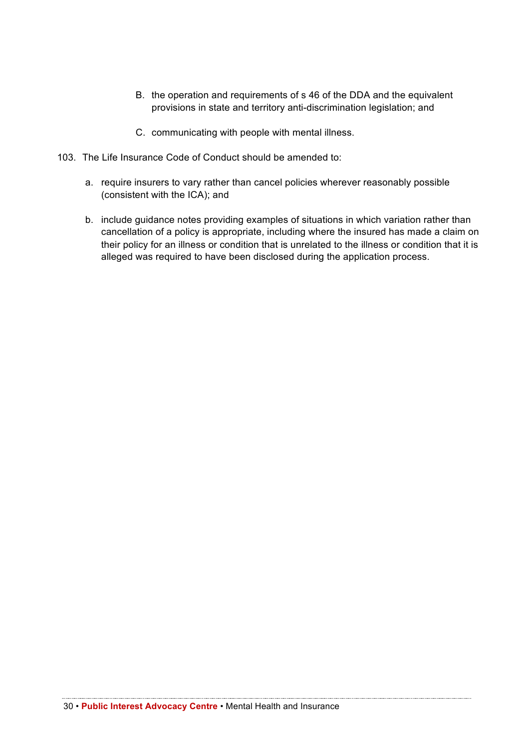- B. the operation and requirements of s 46 of the DDA and the equivalent provisions in state and territory anti-discrimination legislation; and
- C. communicating with people with mental illness.
- 103. The Life Insurance Code of Conduct should be amended to:
	- a. require insurers to vary rather than cancel policies wherever reasonably possible (consistent with the ICA); and
	- b. include guidance notes providing examples of situations in which variation rather than cancellation of a policy is appropriate, including where the insured has made a claim on their policy for an illness or condition that is unrelated to the illness or condition that it is alleged was required to have been disclosed during the application process.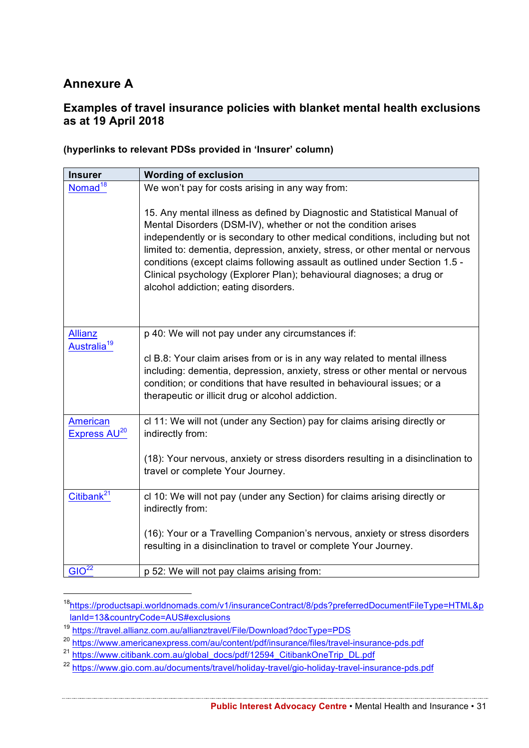## **Annexure A**

## **Examples of travel insurance policies with blanket mental health exclusions as at 19 April 2018**

| <b>Insurer</b>                              | <b>Wording of exclusion</b>                                                                                                                                                                                                                                                                                                                                                                                                                                                                                  |
|---------------------------------------------|--------------------------------------------------------------------------------------------------------------------------------------------------------------------------------------------------------------------------------------------------------------------------------------------------------------------------------------------------------------------------------------------------------------------------------------------------------------------------------------------------------------|
| Nomad <sup>18</sup>                         | We won't pay for costs arising in any way from:                                                                                                                                                                                                                                                                                                                                                                                                                                                              |
|                                             | 15. Any mental illness as defined by Diagnostic and Statistical Manual of<br>Mental Disorders (DSM-IV), whether or not the condition arises<br>independently or is secondary to other medical conditions, including but not<br>limited to: dementia, depression, anxiety, stress, or other mental or nervous<br>conditions (except claims following assault as outlined under Section 1.5 -<br>Clinical psychology (Explorer Plan); behavioural diagnoses; a drug or<br>alcohol addiction; eating disorders. |
| <b>Allianz</b>                              | p 40: We will not pay under any circumstances if:                                                                                                                                                                                                                                                                                                                                                                                                                                                            |
| Australia <sup>19</sup>                     | cl B.8: Your claim arises from or is in any way related to mental illness<br>including: dementia, depression, anxiety, stress or other mental or nervous<br>condition; or conditions that have resulted in behavioural issues; or a<br>therapeutic or illicit drug or alcohol addiction.                                                                                                                                                                                                                     |
| <b>American</b><br>Express AU <sup>20</sup> | cl 11: We will not (under any Section) pay for claims arising directly or<br>indirectly from:                                                                                                                                                                                                                                                                                                                                                                                                                |
|                                             | (18): Your nervous, anxiety or stress disorders resulting in a disinclination to<br>travel or complete Your Journey.                                                                                                                                                                                                                                                                                                                                                                                         |
| Citibank <sup>21</sup>                      | cl 10: We will not pay (under any Section) for claims arising directly or<br>indirectly from:                                                                                                                                                                                                                                                                                                                                                                                                                |
|                                             | (16): Your or a Travelling Companion's nervous, anxiety or stress disorders<br>resulting in a disinclination to travel or complete Your Journey.                                                                                                                                                                                                                                                                                                                                                             |
| GIO <sup>22</sup>                           | p 52: We will not pay claims arising from:                                                                                                                                                                                                                                                                                                                                                                                                                                                                   |

#### **(hyperlinks to relevant PDSs provided in 'Insurer' column)**

 <sup>18</sup>https://productsapi.worldnomads.com/v1/insuranceContract/8/pds?preferredDocumentFileType=HTML&p lanId=13&countryCode=AUS#exclusions

<sup>19</sup> https://travel.allianz.com.au/allianztravel/File/Download?docType=PDS

<sup>20</sup> https://www.americanexpress.com/au/content/pdf/insurance/files/travel-insurance-pds.pdf

<sup>&</sup>lt;sup>21</sup> https://www.citibank.com.au/global\_docs/pdf/12594\_CitibankOneTrip\_DL.pdf

<sup>22</sup> https://www.gio.com.au/documents/travel/holiday-travel/gio-holiday-travel-insurance-pds.pdf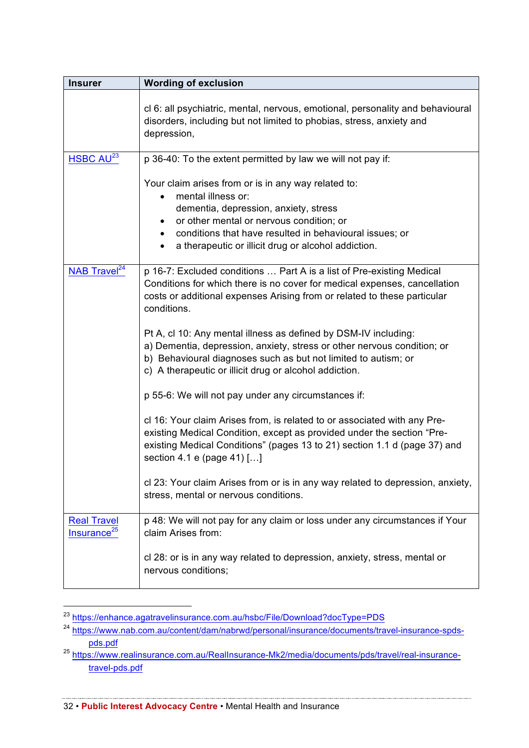| <b>Insurer</b>                                | <b>Wording of exclusion</b>                                                                                                                                                                                                                                                                                                                                                                                                                                                                                             |  |
|-----------------------------------------------|-------------------------------------------------------------------------------------------------------------------------------------------------------------------------------------------------------------------------------------------------------------------------------------------------------------------------------------------------------------------------------------------------------------------------------------------------------------------------------------------------------------------------|--|
|                                               | cl 6: all psychiatric, mental, nervous, emotional, personality and behavioural<br>disorders, including but not limited to phobias, stress, anxiety and<br>depression,                                                                                                                                                                                                                                                                                                                                                   |  |
| HSBC AU <sup>23</sup>                         | p 36-40: To the extent permitted by law we will not pay if:                                                                                                                                                                                                                                                                                                                                                                                                                                                             |  |
|                                               | Your claim arises from or is in any way related to:<br>mental illness or:<br>dementia, depression, anxiety, stress<br>or other mental or nervous condition; or<br>conditions that have resulted in behavioural issues; or<br>a therapeutic or illicit drug or alcohol addiction.                                                                                                                                                                                                                                        |  |
| NAB Travel <sup>24</sup>                      | p 16-7: Excluded conditions  Part A is a list of Pre-existing Medical<br>Conditions for which there is no cover for medical expenses, cancellation<br>costs or additional expenses Arising from or related to these particular<br>conditions.<br>Pt A, cl 10: Any mental illness as defined by DSM-IV including:<br>a) Dementia, depression, anxiety, stress or other nervous condition; or<br>b) Behavioural diagnoses such as but not limited to autism; or<br>c) A therapeutic or illicit drug or alcohol addiction. |  |
|                                               | p 55-6: We will not pay under any circumstances if:                                                                                                                                                                                                                                                                                                                                                                                                                                                                     |  |
|                                               | cl 16: Your claim Arises from, is related to or associated with any Pre-<br>existing Medical Condition, except as provided under the section "Pre-<br>existing Medical Conditions" (pages 13 to 21) section 1.1 d (page 37) and<br>section 4.1 e (page 41) []                                                                                                                                                                                                                                                           |  |
|                                               | cl 23: Your claim Arises from or is in any way related to depression, anxiety,<br>stress, mental or nervous conditions.                                                                                                                                                                                                                                                                                                                                                                                                 |  |
| <b>Real Travel</b><br>Insurance <sup>25</sup> | p 48: We will not pay for any claim or loss under any circumstances if Your<br>claim Arises from:                                                                                                                                                                                                                                                                                                                                                                                                                       |  |
|                                               | cl 28: or is in any way related to depression, anxiety, stress, mental or<br>nervous conditions;                                                                                                                                                                                                                                                                                                                                                                                                                        |  |

 <sup>23</sup> https://enhance.agatravelinsurance.com.au/hsbc/File/Download?docType=PDS

<u> 1989 - Johann Stoff, amerikan bestein de stad for de former for de former for de former for de former for de</u>

32 • **Public Interest Advocacy Centre** • Mental Health and Insurance

<sup>&</sup>lt;sup>24</sup> https://www.nab.com.au/content/dam/nabrwd/personal/insurance/documents/travel-insurance-spdspds.pdf

<sup>25</sup> https://www.realinsurance.com.au/RealInsurance-Mk2/media/documents/pds/travel/real-insurancetravel-pds.pdf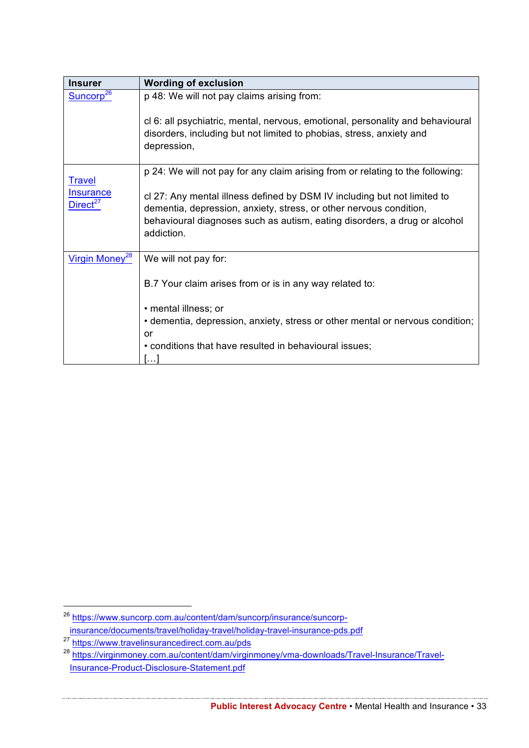| <b>Insurer</b>                           | <b>Wording of exclusion</b>                                                                                                                                                                                                               |  |
|------------------------------------------|-------------------------------------------------------------------------------------------------------------------------------------------------------------------------------------------------------------------------------------------|--|
| Suncorp <sup>26</sup>                    | p 48: We will not pay claims arising from:                                                                                                                                                                                                |  |
|                                          | cl 6: all psychiatric, mental, nervous, emotional, personality and behavioural<br>disorders, including but not limited to phobias, stress, anxiety and<br>depression,                                                                     |  |
| <b>Travel</b>                            | p 24: We will not pay for any claim arising from or relating to the following:                                                                                                                                                            |  |
| <b>Insurance</b><br>Direct <sup>27</sup> | cl 27: Any mental illness defined by DSM IV including but not limited to<br>dementia, depression, anxiety, stress, or other nervous condition,<br>behavioural diagnoses such as autism, eating disorders, a drug or alcohol<br>addiction. |  |
| Virgin Money <sup>28</sup>               | We will not pay for:                                                                                                                                                                                                                      |  |
|                                          | B.7 Your claim arises from or is in any way related to:                                                                                                                                                                                   |  |
|                                          | · mental illness; or                                                                                                                                                                                                                      |  |
|                                          | • dementia, depression, anxiety, stress or other mental or nervous condition;<br>or                                                                                                                                                       |  |
|                                          | • conditions that have resulted in behavioural issues;                                                                                                                                                                                    |  |

 <sup>26</sup> https://www.suncorp.com.au/content/dam/suncorp/insurance/suncorpinsurance/documents/travel/holiday-travel/holiday-travel-insurance-pds.pdf

<sup>&</sup>lt;sup>27</sup> https://www.travelinsurancedirect.com.au/pds

<sup>28</sup> https://virginmoney.com.au/content/dam/virginmoney/vma-downloads/Travel-Insurance/Travel-Insurance-Product-Disclosure-Statement.pdf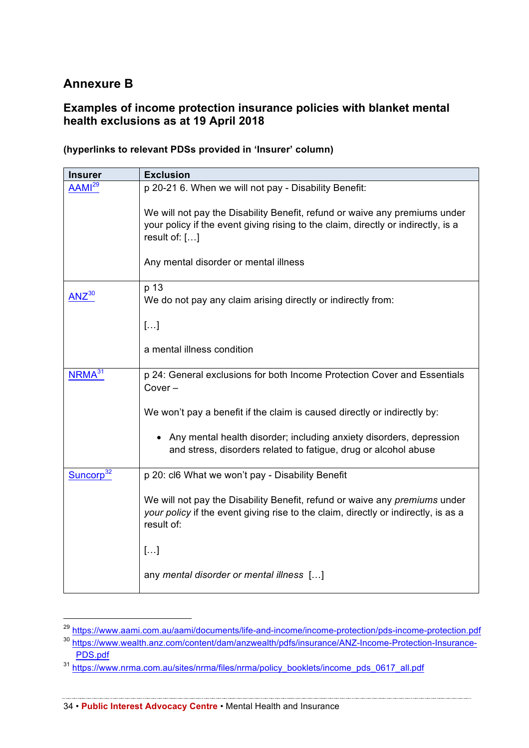## **Annexure B**

## **Examples of income protection insurance policies with blanket mental health exclusions as at 19 April 2018**

| <b>Insurer</b>                                                                                              | <b>Exclusion</b>                                                                                                                                                                 |  |
|-------------------------------------------------------------------------------------------------------------|----------------------------------------------------------------------------------------------------------------------------------------------------------------------------------|--|
| AAMI <sup>29</sup>                                                                                          | p 20-21 6. When we will not pay - Disability Benefit:                                                                                                                            |  |
|                                                                                                             | We will not pay the Disability Benefit, refund or waive any premiums under<br>your policy if the event giving rising to the claim, directly or indirectly, is a<br>result of: [] |  |
|                                                                                                             | Any mental disorder or mental illness                                                                                                                                            |  |
| $ANZ^{30}$                                                                                                  | p 13<br>We do not pay any claim arising directly or indirectly from:                                                                                                             |  |
|                                                                                                             | []                                                                                                                                                                               |  |
|                                                                                                             | a mental illness condition                                                                                                                                                       |  |
| NRMA <sup>31</sup><br>p 24: General exclusions for both Income Protection Cover and Essentials<br>$Cover -$ |                                                                                                                                                                                  |  |
|                                                                                                             | We won't pay a benefit if the claim is caused directly or indirectly by:                                                                                                         |  |
|                                                                                                             | Any mental health disorder; including anxiety disorders, depression<br>and stress, disorders related to fatigue, drug or alcohol abuse                                           |  |
| Suncorp <sup>32</sup>                                                                                       | p 20: cl6 What we won't pay - Disability Benefit                                                                                                                                 |  |
|                                                                                                             | We will not pay the Disability Benefit, refund or waive any premiums under<br>your policy if the event giving rise to the claim, directly or indirectly, is as a<br>result of:   |  |
|                                                                                                             | $[]$                                                                                                                                                                             |  |
|                                                                                                             | any mental disorder or mental illness []                                                                                                                                         |  |

#### **(hyperlinks to relevant PDSs provided in 'Insurer' column)**

<u> 1989 - Johann Stoff, Amerikaansk politiker (de ferske fan de ferske fan de ferske fan de ferske fan de ferske</u>

34 • **Public Interest Advocacy Centre** • Mental Health and Insurance

 <sup>29</sup> https://www.aami.com.au/aami/documents/life-and-income/income-protection/pds-income-protection.pdf

<sup>30</sup> https://www.wealth.anz.com/content/dam/anzwealth/pdfs/insurance/ANZ-Income-Protection-Insurance-PDS.pdf

<sup>&</sup>lt;sup>31</sup> https://www.nrma.com.au/sites/nrma/files/nrma/policy\_booklets/income\_pds\_0617\_all.pdf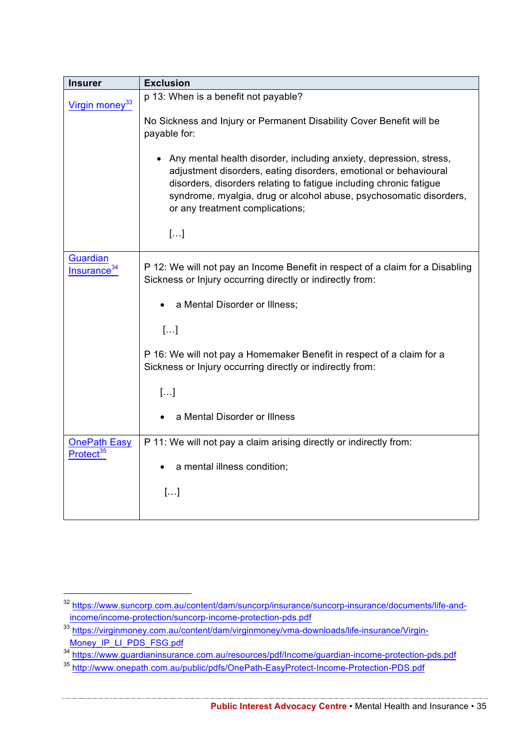| <b>Insurer</b>                               | <b>Exclusion</b>                                                                                                                                                                                                                                                                                                      |  |  |
|----------------------------------------------|-----------------------------------------------------------------------------------------------------------------------------------------------------------------------------------------------------------------------------------------------------------------------------------------------------------------------|--|--|
| Virgin money <sup>33</sup>                   | p 13: When is a benefit not payable?                                                                                                                                                                                                                                                                                  |  |  |
|                                              | No Sickness and Injury or Permanent Disability Cover Benefit will be<br>payable for:                                                                                                                                                                                                                                  |  |  |
|                                              | Any mental health disorder, including anxiety, depression, stress,<br>adjustment disorders, eating disorders, emotional or behavioural<br>disorders, disorders relating to fatigue including chronic fatigue<br>syndrome, myalgia, drug or alcohol abuse, psychosomatic disorders,<br>or any treatment complications; |  |  |
|                                              | $[]$                                                                                                                                                                                                                                                                                                                  |  |  |
| <b>Guardian</b><br>Insurance                 | P 12: We will not pay an Income Benefit in respect of a claim for a Disabling<br>Sickness or Injury occurring directly or indirectly from:                                                                                                                                                                            |  |  |
|                                              | a Mental Disorder or Illness;                                                                                                                                                                                                                                                                                         |  |  |
|                                              | []                                                                                                                                                                                                                                                                                                                    |  |  |
|                                              | P 16: We will not pay a Homemaker Benefit in respect of a claim for a<br>Sickness or Injury occurring directly or indirectly from:                                                                                                                                                                                    |  |  |
|                                              | $[]$                                                                                                                                                                                                                                                                                                                  |  |  |
|                                              | a Mental Disorder or Illness                                                                                                                                                                                                                                                                                          |  |  |
| <b>OnePath Easy</b><br>Protect <sup>35</sup> | P 11: We will not pay a claim arising directly or indirectly from:                                                                                                                                                                                                                                                    |  |  |
| a mental illness condition;                  |                                                                                                                                                                                                                                                                                                                       |  |  |
|                                              | []                                                                                                                                                                                                                                                                                                                    |  |  |
|                                              |                                                                                                                                                                                                                                                                                                                       |  |  |

 <sup>32</sup> https://www.suncorp.com.au/content/dam/suncorp/insurance/suncorp-insurance/documents/life-andincome/income-protection/suncorp-income-protection-pds.pdf

<sup>33</sup> https://virginmoney.com.au/content/dam/virginmoney/vma-downloads/life-insurance/Virgin-Money\_IP\_LI\_PDS\_FSG.pdf

<sup>&</sup>lt;sup>34</sup> https://www.guardianinsurance.com.au/resources/pdf/Income/guardian-income-protection-pds.pdf

<sup>&</sup>lt;sup>35</sup> http://www.onepath.com.au/public/pdfs/OnePath-EasyProtect-Income-Protection-PDS.pdf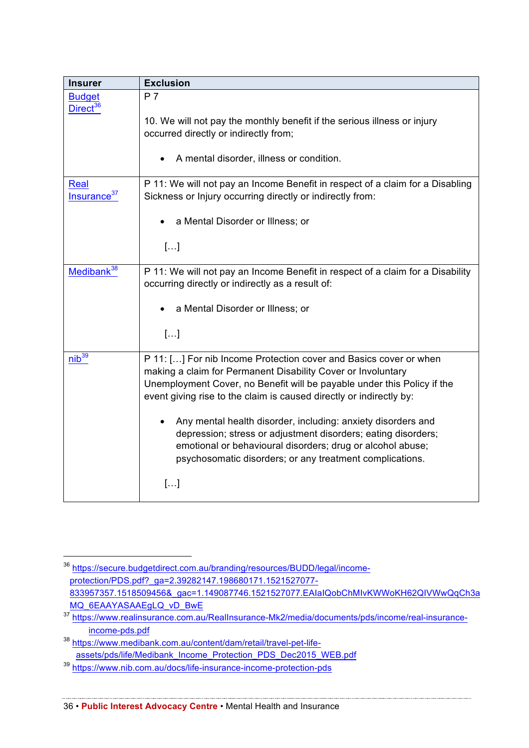| <b>Insurer</b>                                                                                                                                                                                   | <b>Exclusion</b>                                                                                                                                                                                                                                                                    |  |
|--------------------------------------------------------------------------------------------------------------------------------------------------------------------------------------------------|-------------------------------------------------------------------------------------------------------------------------------------------------------------------------------------------------------------------------------------------------------------------------------------|--|
| <b>Budget</b><br>Direct <sup>36</sup>                                                                                                                                                            | P <sub>7</sub>                                                                                                                                                                                                                                                                      |  |
|                                                                                                                                                                                                  | 10. We will not pay the monthly benefit if the serious illness or injury<br>occurred directly or indirectly from;                                                                                                                                                                   |  |
|                                                                                                                                                                                                  | A mental disorder, illness or condition.                                                                                                                                                                                                                                            |  |
| Real<br>Insurance <sup>37</sup>                                                                                                                                                                  | P 11: We will not pay an Income Benefit in respect of a claim for a Disabling<br>Sickness or Injury occurring directly or indirectly from:                                                                                                                                          |  |
|                                                                                                                                                                                                  | a Mental Disorder or Illness; or                                                                                                                                                                                                                                                    |  |
|                                                                                                                                                                                                  | $[]$                                                                                                                                                                                                                                                                                |  |
| Medibank <sup>38</sup><br>P 11: We will not pay an Income Benefit in respect of a claim for a Disability<br>occurring directly or indirectly as a result of:<br>a Mental Disorder or Illness; or |                                                                                                                                                                                                                                                                                     |  |
|                                                                                                                                                                                                  |                                                                                                                                                                                                                                                                                     |  |
| $nib^{39}$                                                                                                                                                                                       | P 11: [] For nib Income Protection cover and Basics cover or when<br>making a claim for Permanent Disability Cover or Involuntary<br>Unemployment Cover, no Benefit will be payable under this Policy if the<br>event giving rise to the claim is caused directly or indirectly by: |  |
|                                                                                                                                                                                                  | Any mental health disorder, including: anxiety disorders and<br>depression; stress or adjustment disorders; eating disorders;<br>emotional or behavioural disorders; drug or alcohol abuse;<br>psychosomatic disorders; or any treatment complications.                             |  |
|                                                                                                                                                                                                  | []                                                                                                                                                                                                                                                                                  |  |

 <sup>36</sup> https://secure.budgetdirect.com.au/branding/resources/BUDD/legal/incomeprotection/PDS.pdf?\_ga=2.39282147.198680171.1521527077- 833957357.1518509456&\_gac=1.149087746.1521527077.EAIaIQobChMIvKWWoKH62QIVWwQqCh3a MQ\_6EAAYASAAEgLQ\_vD\_BwE

<sup>37</sup> https://www.realinsurance.com.au/RealInsurance-Mk2/media/documents/pds/income/real-insuranceincome-pds.pdf

<sup>38</sup> https://www.medibank.com.au/content/dam/retail/travel-pet-lifeassets/pds/life/Medibank\_Income\_Protection\_PDS\_Dec2015\_WEB.pdf

<sup>39</sup> https://www.nib.com.au/docs/life-insurance-income-protection-pds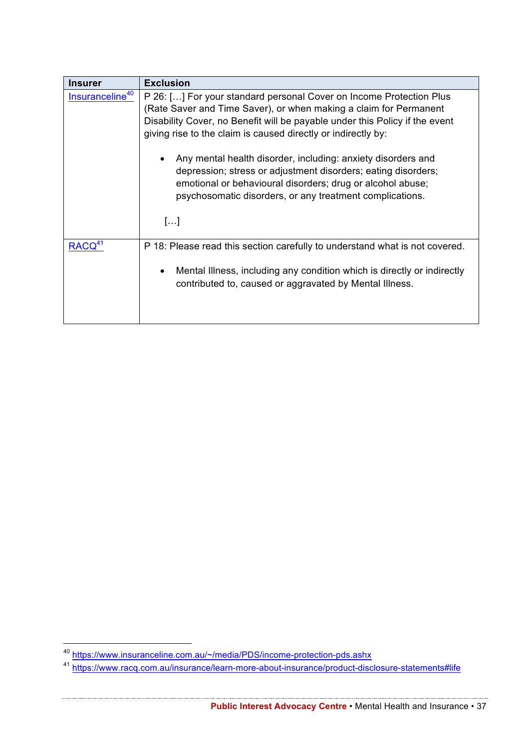| <b>Insurer</b>              | <b>Exclusion</b>                                                                                                                                                                                                                                                                         |  |
|-----------------------------|------------------------------------------------------------------------------------------------------------------------------------------------------------------------------------------------------------------------------------------------------------------------------------------|--|
| Insuranceline <sup>40</sup> | P 26: [] For your standard personal Cover on Income Protection Plus<br>(Rate Saver and Time Saver), or when making a claim for Permanent<br>Disability Cover, no Benefit will be payable under this Policy if the event<br>giving rise to the claim is caused directly or indirectly by: |  |
|                             | Any mental health disorder, including: anxiety disorders and<br>depression; stress or adjustment disorders; eating disorders;<br>emotional or behavioural disorders; drug or alcohol abuse;<br>psychosomatic disorders, or any treatment complications.<br>[]                            |  |
| RACQ <sup>4</sup>           | P 18: Please read this section carefully to understand what is not covered.<br>Mental Illness, including any condition which is directly or indirectly<br>$\bullet$<br>contributed to, caused or aggravated by Mental Illness.                                                           |  |

 <sup>40</sup> https://www.insuranceline.com.au/~/media/PDS/income-protection-pds.ashx

<sup>&</sup>lt;sup>41</sup> https://www.racq.com.au/insurance/learn-more-about-insurance/product-disclosure-statements#life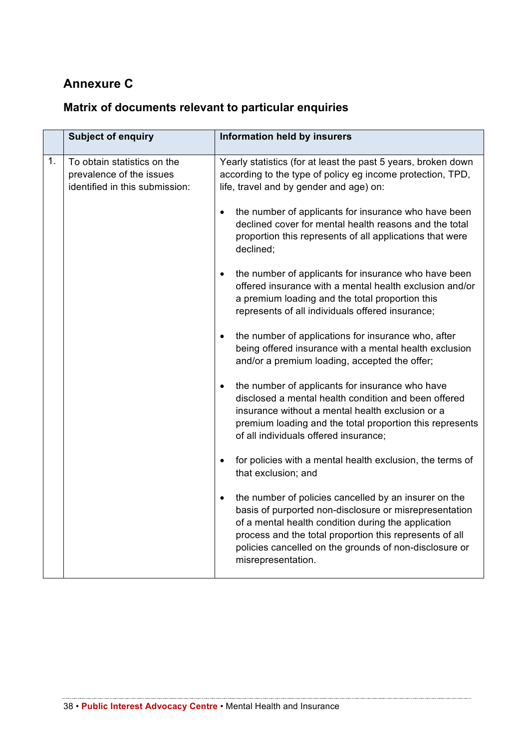## **Annexure C**

## **Matrix of documents relevant to particular enquiries**

|    | <b>Subject of enquiry</b>                                                                 | Information held by insurers                                                                                                                                                                                                                                                                                      |
|----|-------------------------------------------------------------------------------------------|-------------------------------------------------------------------------------------------------------------------------------------------------------------------------------------------------------------------------------------------------------------------------------------------------------------------|
| 1. | To obtain statistics on the<br>prevalence of the issues<br>identified in this submission: | Yearly statistics (for at least the past 5 years, broken down<br>according to the type of policy eg income protection, TPD,<br>life, travel and by gender and age) on:                                                                                                                                            |
|    |                                                                                           | the number of applicants for insurance who have been<br>$\bullet$<br>declined cover for mental health reasons and the total<br>proportion this represents of all applications that were<br>declined;                                                                                                              |
|    |                                                                                           | the number of applicants for insurance who have been<br>$\bullet$<br>offered insurance with a mental health exclusion and/or<br>a premium loading and the total proportion this<br>represents of all individuals offered insurance;                                                                               |
|    |                                                                                           | the number of applications for insurance who, after<br>being offered insurance with a mental health exclusion<br>and/or a premium loading, accepted the offer;                                                                                                                                                    |
|    |                                                                                           | the number of applicants for insurance who have<br>$\bullet$<br>disclosed a mental health condition and been offered<br>insurance without a mental health exclusion or a<br>premium loading and the total proportion this represents<br>of all individuals offered insurance;                                     |
|    |                                                                                           | for policies with a mental health exclusion, the terms of<br>$\bullet$<br>that exclusion; and                                                                                                                                                                                                                     |
|    |                                                                                           | the number of policies cancelled by an insurer on the<br>basis of purported non-disclosure or misrepresentation<br>of a mental health condition during the application<br>process and the total proportion this represents of all<br>policies cancelled on the grounds of non-disclosure or<br>misrepresentation. |

<u> 1989 - Johann Stoff, fransk konger (f. 1989)</u>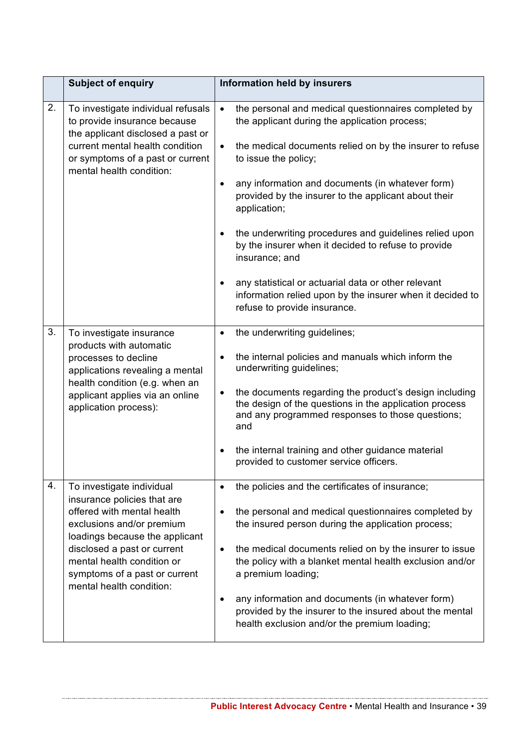|    | <b>Subject of enquiry</b>                                                                                                                                                                                                                                                       | Information held by insurers                                                                                                                                                                                                                                                                                                                                                                                                                                                                                                                                                                                                                        |
|----|---------------------------------------------------------------------------------------------------------------------------------------------------------------------------------------------------------------------------------------------------------------------------------|-----------------------------------------------------------------------------------------------------------------------------------------------------------------------------------------------------------------------------------------------------------------------------------------------------------------------------------------------------------------------------------------------------------------------------------------------------------------------------------------------------------------------------------------------------------------------------------------------------------------------------------------------------|
| 2. | To investigate individual refusals<br>to provide insurance because<br>the applicant disclosed a past or<br>current mental health condition<br>or symptoms of a past or current<br>mental health condition:                                                                      | the personal and medical questionnaires completed by<br>$\bullet$<br>the applicant during the application process;<br>the medical documents relied on by the insurer to refuse<br>$\bullet$<br>to issue the policy;<br>any information and documents (in whatever form)<br>$\bullet$<br>provided by the insurer to the applicant about their<br>application;<br>the underwriting procedures and guidelines relied upon<br>by the insurer when it decided to refuse to provide<br>insurance; and<br>any statistical or actuarial data or other relevant<br>information relied upon by the insurer when it decided to<br>refuse to provide insurance. |
| 3. | To investigate insurance<br>products with automatic<br>processes to decline<br>applications revealing a mental<br>health condition (e.g. when an<br>applicant applies via an online<br>application process):                                                                    | the underwriting guidelines;<br>$\bullet$<br>the internal policies and manuals which inform the<br>$\bullet$<br>underwriting guidelines;<br>the documents regarding the product's design including<br>٠<br>the design of the questions in the application process<br>and any programmed responses to those questions;<br>and<br>the internal training and other guidance material<br>provided to customer service officers.                                                                                                                                                                                                                         |
| 4. | To investigate individual<br>insurance policies that are<br>offered with mental health<br>exclusions and/or premium<br>loadings because the applicant<br>disclosed a past or current<br>mental health condition or<br>symptoms of a past or current<br>mental health condition: | the policies and the certificates of insurance;<br>$\bullet$<br>the personal and medical questionnaires completed by<br>the insured person during the application process;<br>the medical documents relied on by the insurer to issue<br>$\bullet$<br>the policy with a blanket mental health exclusion and/or<br>a premium loading;<br>any information and documents (in whatever form)<br>$\bullet$<br>provided by the insurer to the insured about the mental<br>health exclusion and/or the premium loading;                                                                                                                                    |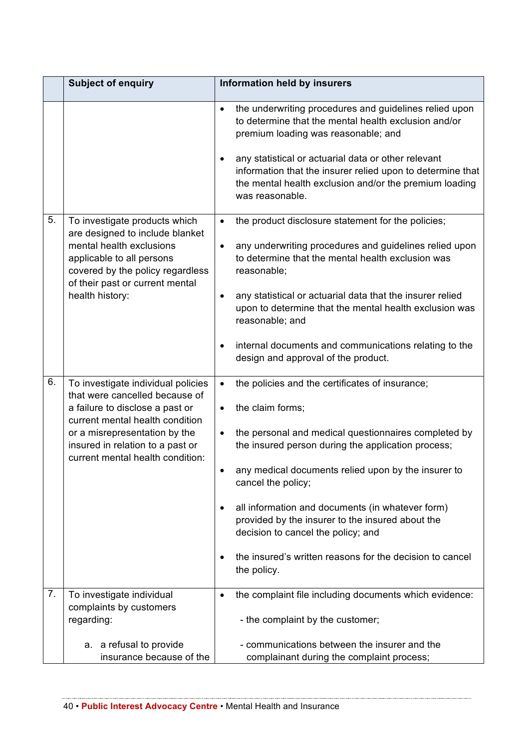| <b>Subject of enquiry</b> |                                                                                                                                          | Information held by insurers                                                                                                                                                                                                                                                                                                                                                      |
|---------------------------|------------------------------------------------------------------------------------------------------------------------------------------|-----------------------------------------------------------------------------------------------------------------------------------------------------------------------------------------------------------------------------------------------------------------------------------------------------------------------------------------------------------------------------------|
|                           |                                                                                                                                          | the underwriting procedures and guidelines relied upon<br>$\bullet$<br>to determine that the mental health exclusion and/or<br>premium loading was reasonable; and<br>any statistical or actuarial data or other relevant<br>$\bullet$<br>information that the insurer relied upon to determine that<br>the mental health exclusion and/or the premium loading<br>was reasonable. |
| 5.                        | To investigate products which                                                                                                            | the product disclosure statement for the policies;<br>$\bullet$                                                                                                                                                                                                                                                                                                                   |
| health history:           | are designed to include blanket<br>mental health exclusions<br>applicable to all persons<br>covered by the policy regardless             | any underwriting procedures and guidelines relied upon<br>$\bullet$<br>to determine that the mental health exclusion was<br>reasonable;                                                                                                                                                                                                                                           |
|                           | of their past or current mental                                                                                                          | any statistical or actuarial data that the insurer relied<br>$\bullet$<br>upon to determine that the mental health exclusion was<br>reasonable; and                                                                                                                                                                                                                               |
|                           |                                                                                                                                          | internal documents and communications relating to the<br>$\bullet$<br>design and approval of the product.                                                                                                                                                                                                                                                                         |
| 6.                        | To investigate individual policies                                                                                                       | the policies and the certificates of insurance;<br>$\bullet$                                                                                                                                                                                                                                                                                                                      |
|                           | that were cancelled because of<br>a failure to disclose a past or                                                                        | the claim forms;<br>$\bullet$                                                                                                                                                                                                                                                                                                                                                     |
|                           | current mental health condition<br>or a misrepresentation by the<br>insured in relation to a past or<br>current mental health condition: | the personal and medical questionnaires completed by<br>$\bullet$<br>the insured person during the application process;                                                                                                                                                                                                                                                           |
|                           |                                                                                                                                          | any medical documents relied upon by the insurer to<br>cancel the policy;                                                                                                                                                                                                                                                                                                         |
|                           |                                                                                                                                          | all information and documents (in whatever form)<br>٠<br>provided by the insurer to the insured about the<br>decision to cancel the policy; and                                                                                                                                                                                                                                   |
|                           |                                                                                                                                          | the insured's written reasons for the decision to cancel<br>$\bullet$<br>the policy.                                                                                                                                                                                                                                                                                              |
| 7.                        | To investigate individual<br>complaints by customers                                                                                     | the complaint file including documents which evidence:<br>$\bullet$                                                                                                                                                                                                                                                                                                               |
|                           | regarding:                                                                                                                               | - the complaint by the customer;                                                                                                                                                                                                                                                                                                                                                  |
|                           | a. a refusal to provide<br>insurance because of the                                                                                      | - communications between the insurer and the<br>complainant during the complaint process;                                                                                                                                                                                                                                                                                         |